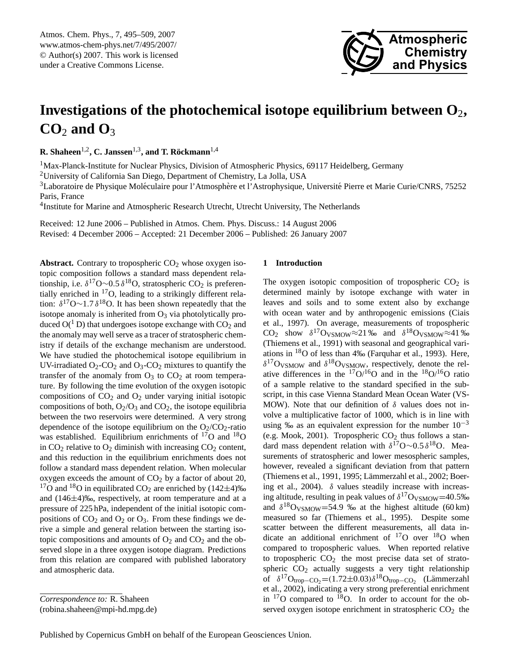<span id="page-0-1"></span>Atmos. Chem. Phys., 7, 495–509, 2007 www.atmos-chem-phys.net/7/495/2007/ © Author(s) 2007. This work is licensed under a Creative Commons License.



# **Investigations of the photochemical isotope equilibrium between O**2**,**  $CO<sub>2</sub>$  and  $O<sub>3</sub>$

**R.** Shaheen<sup>1,2</sup>, C. Janssen<sup>1,3</sup>, and T. Röckmann<sup>1,4</sup>

<sup>1</sup>Max-Planck-Institute for Nuclear Physics, Division of Atmospheric Physics, 69117 Heidelberg, Germany

<sup>2</sup>University of California San Diego, Department of Chemistry, La Jolla, USA

<sup>3</sup>Laboratoire de Physique Moléculaire pour l'Atmosphère et l'Astrophysique, Université Pierre et Marie Curie/CNRS, 75252 Paris, France

<sup>4</sup>Institute for Marine and Atmospheric Research Utrecht, Utrecht University, The Netherlands

Received: 12 June 2006 – Published in Atmos. Chem. Phys. Discuss.: 14 August 2006 Revised: 4 December 2006 – Accepted: 21 December 2006 – Published: 26 January 2007

**Abstract.** Contrary to tropospheric  $CO<sub>2</sub>$  whose oxygen isotopic composition follows a standard mass dependent relationship, i.e.  $\delta^{17}O \sim 0.5 \delta^{18}O$ , stratospheric CO<sub>2</sub> is preferentially enriched in <sup>17</sup>O, leading to a strikingly different relation:  $\delta^{17}O \sim 1.7 \delta^{18}O$ . It has been shown repeatedly that the isotope anomaly is inherited from  $O_3$  via photolytically produced  $O(^1 D)$  that undergoes isotope exchange with  $CO_2$  and the anomaly may well serve as a tracer of stratospheric chemistry if details of the exchange mechanism are understood. We have studied the photochemical isotope equilibrium in UV-irradiated  $O_2$ -CO<sub>2</sub> and  $O_3$ -CO<sub>2</sub> mixtures to quantify the transfer of the anomaly from  $O_3$  to  $CO_2$  at room temperature. By following the time evolution of the oxygen isotopic compositions of  $CO<sub>2</sub>$  and  $O<sub>2</sub>$  under varying initial isotopic compositions of both,  $O_2/O_3$  and  $CO_2$ , the isotope equilibria between the two reservoirs were determined. A very strong dependence of the isotope equilibrium on the  $O_2/CO_2$ -ratio was established. Equilibrium enrichments of  $^{17}O$  and  $^{18}O$ in  $CO<sub>2</sub>$  relative to  $O<sub>2</sub>$  diminish with increasing  $CO<sub>2</sub>$  content, and this reduction in the equilibrium enrichments does not follow a standard mass dependent relation. When molecular oxygen exceeds the amount of  $CO<sub>2</sub>$  by a factor of about 20, <sup>17</sup>O and <sup>18</sup>O in equilibrated CO<sub>2</sub> are enriched by  $(142\pm4)\%$ and (146±4)‰, respectively, at room temperature and at a pressure of 225 hPa, independent of the initial isotopic compositions of  $CO<sub>2</sub>$  and  $O<sub>2</sub>$  or  $O<sub>3</sub>$ . From these findings we derive a simple and general relation between the starting isotopic compositions and amounts of  $O_2$  and  $CO_2$  and the observed slope in a three oxygen isotope diagram. Predictions from this relation are compared with published laboratory and atmospheric data.

*Correspondence to:* R. Shaheen

(robina.shaheen@mpi-hd.mpg.de)

# <span id="page-0-0"></span>**1 Introduction**

The oxygen isotopic composition of tropospheric  $CO<sub>2</sub>$  is determined mainly by isotope exchange with water in leaves and soils and to some extent also by exchange with ocean water and by anthropogenic emissions [\(Ciais](#page-13-0) [et al.,](#page-13-0) [1997\)](#page-13-0). On average, measurements of tropospheric CO<sub>2</sub> show  $\delta^{17}$ O<sub>VSMOW</sub>≈21‰ and  $\delta^{18}$ O<sub>VSMOW</sub>≈41‰ [\(Thiemens et al.,](#page-14-0) [1991\)](#page-14-0) with seasonal and geographical variations in  $^{18}$ O of less than 4‰ [\(Farquhar et al.,](#page-13-1) [1993\)](#page-13-1). Here,  $\delta^{17}$ O<sub>VSMOW</sub> and  $\delta^{18}$ O<sub>VSMOW</sub>, respectively, denote the relative differences in the  $17O/16O$  and in the  $18O/16O$  ratio of a sample relative to the standard specified in the subscript, in this case Vienna Standard Mean Ocean Water (VS-MOW). Note that our definition of  $\delta$  values does not involve a multiplicative factor of 1000, which is in line with using ‰ as an equivalent expression for the number  $10^{-3}$ (e.g. [Mook,](#page-14-1) [2001\)](#page-14-1). Tropospheric  $CO<sub>2</sub>$  thus follows a standard mass dependent relation with  $\delta^{17}O \sim 0.5 \delta^{18}O$ . Measurements of stratospheric and lower mesospheric samples, however, revealed a significant deviation from that pattern [\(Thiemens et al.,](#page-14-0) [1991,](#page-14-0) [1995;](#page-14-2) Lämmerzahl et al., [2002;](#page-13-2) [Boer](#page-13-3)[ing et al.,](#page-13-3) [2004\)](#page-13-3).  $\delta$  values steadily increase with increasing altitude, resulting in peak values of  $\delta^{17}O_{VSMOW}=40.5\%$ and  $\delta^{18}$ O<sub>VSMOW</sub>=54.9 ‰ at the highest altitude (60 km) measured so far [\(Thiemens et al.,](#page-14-2) [1995\)](#page-14-2). Despite some scatter between the different measurements, all data indicate an additional enrichment of  $17$ O over  $18$ O when compared to tropospheric values. When reported relative to tropospheric  $CO<sub>2</sub>$  the most precise data set of stratospheric  $CO<sub>2</sub>$  actually suggests a very tight relationship of  $\delta^{17}O_{\text{trop}-\text{CO}_2} = (1.72 \pm 0.03)\delta^{18}O_{\text{trop}-\text{CO}_2}$  (Lämmerzahl [et al.,](#page-13-2) [2002\)](#page-13-2), indicating a very strong preferential enrichment in  $17$ O compared to  $18$ O. In order to account for the observed oxygen isotope enrichment in stratospheric  $CO<sub>2</sub>$  the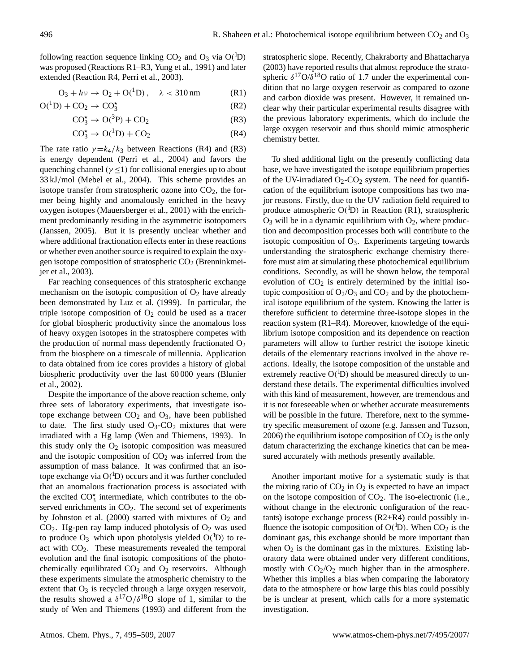following reaction sequence linking  $CO_2$  and  $O_3$  via  $O(^1D)$ was proposed (Reactions [R1–R3,](#page-0-0) [Yung et al.,](#page-14-3) [1991\)](#page-14-3) and later extended (Reaction [R4,](#page-0-0) [Perri et al.,](#page-14-4) [2003\)](#page-14-4).

$$
O_3 + hv \to O_2 + O(^{1}D), \quad \lambda < 310 \,\text{nm}
$$
 (R1)

$$
O(^{1}D) + CO_{2} \rightarrow CO_{3}^{\star}
$$
 (R2)

$$
CO_3^{\star} \to O(^3P) + CO_2 \tag{R3}
$$

$$
CO_3^{\star} \to O(^{1}D) + CO_2 \tag{R4}
$$

The rate ratio  $\gamma = k_4/k_3$  between Reactions [\(R4\)](#page-0-0) and [\(R3\)](#page-0-0) is energy dependent [\(Perri et al.,](#page-14-5) [2004\)](#page-14-5) and favors the quenching channel ( $\gamma \leq 1$ ) for collisional energies up to about 33 kJ/mol [\(Mebel et al.,](#page-14-6) [2004\)](#page-14-6). This scheme provides an isotope transfer from stratospheric ozone into  $CO<sub>2</sub>$ , the former being highly and anomalously enriched in the heavy oxygen isotopes [\(Mauersberger et al.,](#page-14-7) [2001\)](#page-14-7) with the enrichment predominantly residing in the asymmetric isotopomers [\(Janssen,](#page-13-4) [2005\)](#page-13-4). But it is presently unclear whether and where additional fractionation effects enter in these reactions or whether even another source is required to explain the oxygen isotope composition of stratospheric  $CO<sub>2</sub>$  [\(Brenninkmei](#page-13-5)[jer et al.,](#page-13-5) [2003\)](#page-13-5).

Far reaching consequences of this stratospheric exchange mechanism on the isotopic composition of  $O_2$  have already been demonstrated by [Luz et al.](#page-14-8) [\(1999\)](#page-14-8). In particular, the triple isotope composition of  $O<sub>2</sub>$  could be used as a tracer for global biospheric productivity since the anomalous loss of heavy oxygen isotopes in the stratosphere competes with the production of normal mass dependently fractionated  $O_2$ from the biosphere on a timescale of millennia. Application to data obtained from ice cores provides a history of global biospheric productivity over the last 60 000 years [\(Blunier](#page-13-6) [et al.,](#page-13-6) [2002\)](#page-13-6).

Despite the importance of the above reaction scheme, only three sets of laboratory experiments, that investigate isotope exchange between  $CO<sub>2</sub>$  and  $O<sub>3</sub>$ , have been published to date. The first study used  $O_3$ - $CO_2$  mixtures that were irradiated with a Hg lamp [\(Wen and Thiemens,](#page-14-9) [1993\)](#page-14-9). In this study only the  $O_2$  isotopic composition was measured and the isotopic composition of  $CO<sub>2</sub>$  was inferred from the assumption of mass balance. It was confirmed that an isotope exchange via  $O(^{1}D)$  occurs and it was further concluded that an anomalous fractionation process is associated with the excited  $CO_3^{\star}$  intermediate, which contributes to the observed enrichments in  $CO<sub>2</sub>$ . The second set of experiments by [Johnston et al.](#page-13-7) [\(2000\)](#page-13-7) started with mixtures of  $O_2$  and  $CO<sub>2</sub>$ . Hg-pen ray lamp induced photolysis of  $O<sub>2</sub>$  was used to produce  $O_3$  which upon photolysis yielded  $O(^1D)$  to react with  $CO<sub>2</sub>$ . These measurements revealed the temporal evolution and the final isotopic compositions of the photochemically equilibrated  $CO<sub>2</sub>$  and  $O<sub>2</sub>$  reservoirs. Although these experiments simulate the atmospheric chemistry to the extent that  $O_3$  is recycled through a large oxygen reservoir, the results showed a  $\delta^{17}O/\delta^{18}O$  slope of 1, similar to the study of [Wen and Thiemens](#page-14-9) [\(1993\)](#page-14-9) and different from the stratospheric slope. Recently, [Chakraborty and Bhattacharya](#page-13-8) [\(2003\)](#page-13-8) have reported results that almost reproduce the stratospheric  $\delta^{17}O/\delta^{18}O$  ratio of 1.7 under the experimental condition that no large oxygen reservoir as compared to ozone and carbon dioxide was present. However, it remained unclear why their particular experimental results disagree with the previous laboratory experiments, which do include the large oxygen reservoir and thus should mimic atmospheric chemistry better.

To shed additional light on the presently conflicting data base, we have investigated the isotope equilibrium properties of the UV-irradiated  $O_2$ -CO<sub>2</sub> system. The need for quantification of the equilibrium isotope compositions has two major reasons. Firstly, due to the UV radiation field required to produce atmospheric  $O(^{1}D)$  in Reaction [\(R1\)](#page-0-0), stratospheric  $O_3$  will be in a dynamic equilibrium with  $O_2$ , where production and decomposition processes both will contribute to the isotopic composition of  $O_3$ . Experiments targeting towards understanding the stratospheric exchange chemistry therefore must aim at simulating these photochemical equilibrium conditions. Secondly, as will be shown below, the temporal evolution of  $CO<sub>2</sub>$  is entirely determined by the initial isotopic composition of  $O_2/O_3$  and  $CO_2$  and by the photochemical isotope equilibrium of the system. Knowing the latter is therefore sufficient to determine three-isotope slopes in the reaction system [\(R1–R4\)](#page-0-0). Moreover, knowledge of the equilibrium isotope composition and its dependence on reaction parameters will allow to further restrict the isotope kinetic details of the elementary reactions involved in the above reactions. Ideally, the isotope composition of the unstable and extremely reactive  $O(^{1}D)$  should be measured directly to understand these details. The experimental difficulties involved with this kind of measurement, however, are tremendous and it is not foreseeable when or whether accurate measurements will be possible in the future. Therefore, next to the symmetry specific measurement of ozone (e.g. [Janssen and Tuzson,](#page-13-9) [2006\)](#page-13-9) the equilibrium isotope composition of  $CO<sub>2</sub>$  is the only datum characterizing the exchange kinetics that can be measured accurately with methods presently available.

Another important motive for a systematic study is that the mixing ratio of  $CO<sub>2</sub>$  in  $O<sub>2</sub>$  is expected to have an impact on the isotope composition of  $CO<sub>2</sub>$ . The iso-electronic (i.e., without change in the electronic configuration of the reactants) isotope exchange process [\(R2+R4\)](#page-0-0) could possibly influence the isotopic composition of  $O(^1D)$ . When  $CO_2$  is the dominant gas, this exchange should be more important than when  $O_2$  is the dominant gas in the mixtures. Existing laboratory data were obtained under very different conditions, mostly with  $CO<sub>2</sub>/O<sub>2</sub>$  much higher than in the atmosphere. Whether this implies a bias when comparing the laboratory data to the atmosphere or how large this bias could possibly be is unclear at present, which calls for a more systematic investigation.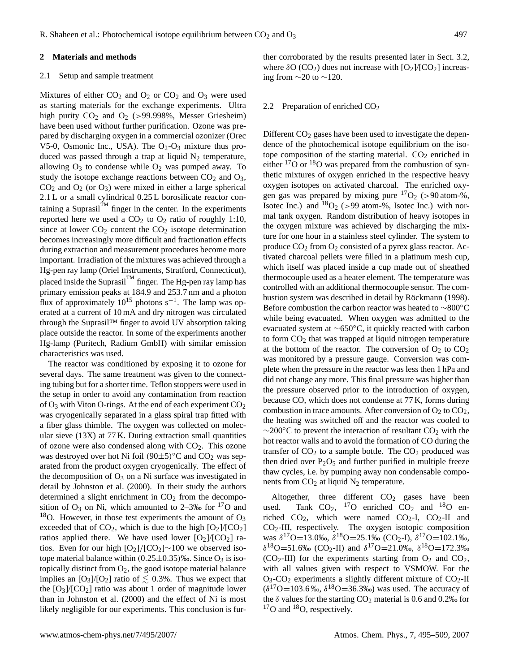## **2 Materials and methods**

## 2.1 Setup and sample treatment

Mixtures of either  $CO_2$  and  $O_2$  or  $CO_2$  and  $O_3$  were used as starting materials for the exchange experiments. Ultra high purity  $CO_2$  and  $O_2$  (>99.998%, Messer Griesheim) have been used without further purification. Ozone was prepared by discharging oxygen in a commercial ozonizer (Orec V5-0, Osmonic Inc., USA). The  $O_2-O_3$  mixture thus produced was passed through a trap at liquid  $N_2$  temperature, allowing  $O_3$  to condense while  $O_2$  was pumped away. To study the isotope exchange reactions between  $CO<sub>2</sub>$  and  $O<sub>3</sub>$ ,  $CO<sub>2</sub>$  and  $O<sub>2</sub>$  (or  $O<sub>3</sub>$ ) were mixed in either a large spherical 2.1 L or a small cylindrical 0.25 L borosilicate reactor containing a Suprasil $^{TM}$  finger in the center. In the experiments reported here we used a  $CO<sub>2</sub>$  to  $O<sub>2</sub>$  ratio of roughly 1:10, since at lower  $CO<sub>2</sub>$  content the  $CO<sub>2</sub>$  isotope determination becomes increasingly more difficult and fractionation effects during extraction and measurement procedures become more important. Irradiation of the mixtures was achieved through a Hg-pen ray lamp (Oriel Instruments, Stratford, Connecticut), placed inside the Suprasil $<sup>TM</sup>$  finger. The Hg-pen ray lamp has</sup> primary emission peaks at 184.9 and 253.7 nm and a photon flux of approximately  $10^{15}$  photons s<sup>-1</sup>. The lamp was operated at a current of 10 mA and dry nitrogen was circulated through the Suprasil™ finger to avoid UV absorption taking place outside the reactor. In some of the experiments another Hg-lamp (Puritech, Radium GmbH) with similar emission characteristics was used.

The reactor was conditioned by exposing it to ozone for several days. The same treatment was given to the connecting tubing but for a shorter time. Teflon stoppers were used in the setup in order to avoid any contamination from reaction of  $O_3$  with Viton O-rings. At the end of each experiment  $CO_2$ was cryogenically separated in a glass spiral trap fitted with a fiber glass thimble. The oxygen was collected on molecular sieve (13X) at 77 K. During extraction small quantities of ozone were also condensed along with  $CO<sub>2</sub>$ . This ozone was destroyed over hot Ni foil  $(90±5)$ °C and CO<sub>2</sub> was separated from the product oxygen cryogenically. The effect of the decomposition of  $O_3$  on a Ni surface was investigated in detail by [Johnston et al.](#page-13-7) [\(2000\)](#page-13-7). In their study the authors determined a slight enrichment in  $CO<sub>2</sub>$  from the decomposition of  $O_3$  on Ni, which amounted to 2–3‰ for  $17O$  and <sup>18</sup>O. However, in those test experiments the amount of  $O_3$ exceeded that of  $CO<sub>2</sub>$ , which is due to the high  $[O<sub>2</sub>]/[CO<sub>2</sub>]$ ratios applied there. We have used lower  $[O_2]/[CO_2]$  ratios. Even for our high  $[O_2]/[CO_2]$ ∼100 we observed isotope material balance within  $(0.25\pm0.35)$ ‰. Since O<sub>3</sub> is isotopically distinct from  $O_2$ , the good isotope material balance implies an  $[O_3]/[O_2]$  ratio of  $\leq 0.3\%$ . Thus we expect that the  $[O_3]/[CO_2]$  ratio was about 1 order of magnitude lower than in [Johnston et al.](#page-13-7) [\(2000\)](#page-13-7) and the effect of Ni is most likely negligible for our experiments. This conclusion is further corroborated by the results presented later in Sect. [3.2,](#page-4-0) where  $\delta O (CO_2)$  does not increase with  $[O_2]/[CO_2]$  increasing from  $\sim$ 20 to  $\sim$ 120.

## 2.2 Preparation of enriched CO<sub>2</sub>

Different  $CO<sub>2</sub>$  gases have been used to investigate the dependence of the photochemical isotope equilibrium on the isotope composition of the starting material.  $CO<sub>2</sub>$  enriched in either  $^{17}$ O or  $^{18}$ O was prepared from the combustion of synthetic mixtures of oxygen enriched in the respective heavy oxygen isotopes on activated charcoal. The enriched oxygen gas was prepared by mixing pure  $17O_2$  (>90 atom-%, Isotec Inc.) and  $^{18}O_2$  (>99 atom-%, Isotec Inc.) with normal tank oxygen. Random distribution of heavy isotopes in the oxygen mixture was achieved by discharging the mixture for one hour in a stainless steel cylinder. The system to produce  $CO_2$  from  $O_2$  consisted of a pyrex glass reactor. Activated charcoal pellets were filled in a platinum mesh cup, which itself was placed inside a cup made out of sheathed thermocouple used as a heater element. The temperature was controlled with an additional thermocouple sensor. The com-bustion system was described in detail by Röckmann [\(1998\)](#page-14-10). Before combustion the carbon reactor was heated to ∼800◦C while being evacuated. When oxygen was admitted to the evacuated system at ∼650◦C, it quickly reacted with carbon to form  $CO<sub>2</sub>$  that was trapped at liquid nitrogen temperature at the bottom of the reactor. The conversion of  $O_2$  to  $CO_2$ was monitored by a pressure gauge. Conversion was complete when the pressure in the reactor was less then 1 hPa and did not change any more. This final pressure was higher than the pressure observed prior to the introduction of oxygen, because CO, which does not condense at 77 K, forms during combustion in trace amounts. After conversion of  $O_2$  to  $CO_2$ , the heating was switched off and the reactor was cooled to  $\sim$ 200 $\degree$ C to prevent the interaction of resultant CO<sub>2</sub> with the hot reactor walls and to avoid the formation of CO during the transfer of  $CO<sub>2</sub>$  to a sample bottle. The  $CO<sub>2</sub>$  produced was then dried over  $P_2O_5$  and further purified in multiple freeze thaw cycles, i.e. by pumping away non condensable components from  $CO<sub>2</sub>$  at liquid N<sub>2</sub> temperature.

Altogether, three different  $CO<sub>2</sub>$  gases have been used. Tank  $CO_2$ , <sup>17</sup>O enriched  $CO_2$  and <sup>18</sup>O enriched  $CO_2$ , which were named  $CO_2$ -I,  $CO_2$ -II and  $CO<sub>2</sub>$ -III, respectively. The oxygen isotopic composition was  $\delta^{17}O=13.0\%$ ,  $\delta^{18}O=25.1\%$  (CO<sub>2</sub>-I),  $\delta^{17}O=102.1\%$ ,  $δ<sup>18</sup>O=51.6‰$  (CO<sub>2</sub>-II) and  $δ<sup>17</sup>O=21.0‰, δ<sup>18</sup>O=172.3‰$  $(CO<sub>2</sub>-III)$  for the experiments starting from  $O<sub>2</sub>$  and  $CO<sub>2</sub>$ , with all values given with respect to VSMOW. For the  $O_3$ -CO<sub>2</sub> experiments a slightly different mixture of CO<sub>2</sub>-II  $(\delta^{17}O=103.6\%$ ,  $\delta^{18}O=36.3\%$ ) was used. The accuracy of the  $\delta$  values for the starting CO<sub>2</sub> material is 0.6 and 0.2‰ for  $17$ O and  $18$ O, respectively.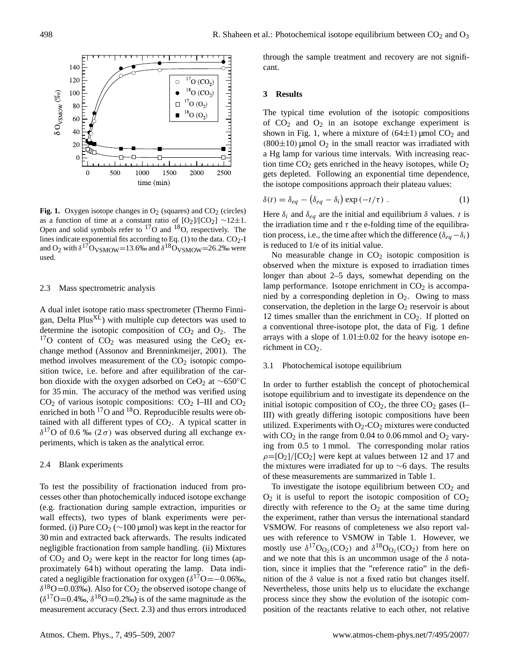

<span id="page-3-2"></span>**Fig. 1.** Oxygen isotope changes in  $O_2$  (squares) and  $CO_2$  (circles) as a function of time at a constant ratio of  $[O_2]/[CO_2] \sim 12 \pm 1$ . Open and solid symbols refer to <sup>17</sup>O and <sup>18</sup>O, respectively. The lines indicate exponential fits according to Eq.  $(1)$  to the data.  $CO<sub>2</sub>$ -I and O<sub>2</sub> with  $\delta^{17}$ O<sub>VSMOW</sub>=13.6‰ and  $\delta^{18}$ O<sub>VSMOW</sub>=26.2‰ were used.

#### <span id="page-3-1"></span>2.3 Mass spectrometric analysis

A dual inlet isotope ratio mass spectrometer (Thermo Finnigan, Delta  $Plus<sup>XL</sup>$ ) with multiple cup detectors was used to determine the isotopic composition of  $CO<sub>2</sub>$  and  $O<sub>2</sub>$ . The  $17$ O content of CO<sub>2</sub> was measured using the CeO<sub>2</sub> exchange method [\(Assonov and Brenninkmeijer,](#page-13-10) [2001\)](#page-13-10). The method involves measurement of the  $CO<sub>2</sub>$  isotopic composition twice, i.e. before and after equilibration of the carbon dioxide with the oxygen adsorbed on CeO<sub>2</sub> at ~650°C for 35 min. The accuracy of the method was verified using  $CO<sub>2</sub>$  of various isotopic compositions:  $CO<sub>2</sub>$  I–III and  $CO<sub>2</sub>$ enriched in both  $^{17}$ O and  $^{18}$ O. Reproducible results were obtained with all different types of  $CO<sub>2</sub>$ . A typical scatter in  $\delta^{17}$ O of 0.6 ‰ (2 $\sigma$ ) was observed during all exchange experiments, which is taken as the analytical error.

#### 2.4 Blank experiments

To test the possibility of fractionation induced from processes other than photochemically induced isotope exchange (e.g. fractionation during sample extraction, impurities or wall effects), two types of blank experiments were performed. (i) Pure  $CO_2$  (∼100 µmol) was kept in the reactor for 30 min and extracted back afterwards. The results indicated negligible fractionation from sample handling. (ii) Mixtures of  $CO<sub>2</sub>$  and  $O<sub>2</sub>$  were kept in the reactor for long times (approximately 64 h) without operating the lamp. Data indicated a negligible fractionation for oxygen  $(\delta^{17}O = -0.06\%$ ,  $\delta^{18}O$  = 0.03‰). Also for CO<sub>2</sub> the observed isotope change of  $(\delta^{17}O=0.4\%, \delta^{18}O=0.2\%)$  is of the same magnitude as the measurement accuracy (Sect. [2.3\)](#page-3-1) and thus errors introduced through the sample treatment and recovery are not significant.

## **3 Results**

The typical time evolution of the isotopic compositions of  $CO<sub>2</sub>$  and  $O<sub>2</sub>$  in an isotope exchange experiment is shown in Fig. [1,](#page-3-2) where a mixture of  $(64\pm1)$  µmol CO<sub>2</sub> and  $(800\pm10)$  µmol  $O_2$  in the small reactor was irradiated with a Hg lamp for various time intervals. With increasing reaction time  $CO<sub>2</sub>$  gets enriched in the heavy isotopes, while  $O<sub>2</sub>$ gets depleted. Following an exponential time dependence, the isotope compositions approach their plateau values:

<span id="page-3-0"></span>
$$
\delta(t) = \delta_{eq} - (\delta_{eq} - \delta_i) \exp(-t/\tau) . \tag{1}
$$

Here  $\delta_i$  and  $\delta_{eq}$  are the initial and equilibrium  $\delta$  values. t is the irradiation time and  $\tau$  the e-folding time of the equilibration process, i.e., the time after which the difference ( $\delta_{ea}-\delta_i$ ) is reduced to 1/e of its initial value.

No measurable change in  $CO<sub>2</sub>$  isotopic composition is observed when the mixture is exposed to irradiation times longer than about 2–5 days, somewhat depending on the lamp performance. Isotope enrichment in  $CO<sub>2</sub>$  is accompanied by a corresponding depletion in  $O_2$ . Owing to mass conservation, the depletion in the large  $O_2$  reservoir is about 12 times smaller than the enrichment in  $CO<sub>2</sub>$ . If plotted on a conventional three-isotope plot, the data of Fig. [1](#page-3-2) define arrays with a slope of  $1.01 \pm 0.02$  for the heavy isotope enrichment in  $CO<sub>2</sub>$ .

## 3.1 Photochemical isotope equilibrium

In order to further establish the concept of photochemical isotope equilibrium and to investigate its dependence on the initial isotopic composition of  $CO<sub>2</sub>$ , the three  $CO<sub>2</sub>$  gases (I– III) with greatly differing isotopic compositions have been utilized. Experiments with  $O_2$ -CO<sub>2</sub> mixtures were conducted with  $CO<sub>2</sub>$  in the range from 0.04 to 0.06 mmol and  $O<sub>2</sub>$  varying from 0.5 to 1 mmol. The corresponding molar ratios  $\rho = [O_2]/[CO_2]$  were kept at values between 12 and 17 and the mixtures were irradiated for up to ∼6 days. The results of these measurements are summarized in Table [1.](#page-4-1)

To investigate the isotope equilibrium between  $CO<sub>2</sub>$  and  $O_2$  it is useful to report the isotopic composition of  $CO_2$ directly with reference to the  $O_2$  at the same time during the experiment, rather than versus the international standard VSMOW. For reasons of completeness we also report values with reference to VSMOW in Table [1.](#page-4-1) However, we mostly use  $\delta^{17}O_{O_2}(CO_2)$  and  $\delta^{18}O_{O_2}(CO_2)$  from here on and we note that this is an uncommon usage of the  $\delta$  notation, since it implies that the "reference ratio" in the definition of the  $\delta$  value is not a fixed ratio but changes itself. Nevertheless, those units help us to elucidate the exchange process since they show the evolution of the isotopic composition of the reactants relative to each other, not relative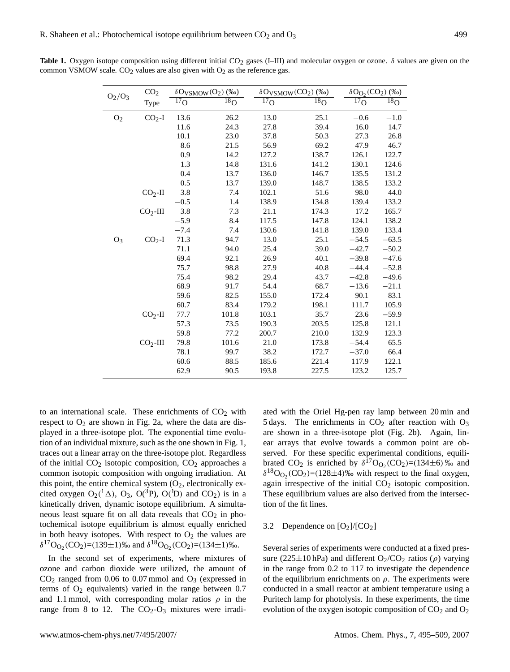| $O_2/O_3$      | CO <sub>2</sub> | $\delta O_{VSMOW}(O_2)$ (‰) |                            |                            | $\delta O_{VSMOW}(CO_2)$ (%o) |                            | $\delta O_{\Omega_2}(CO_2)$<br>(%o) |  |  |
|----------------|-----------------|-----------------------------|----------------------------|----------------------------|-------------------------------|----------------------------|-------------------------------------|--|--|
|                | Type            | $\overline{^{17}}$ O        | $\overline{^{18}}\text{O}$ | $\overline{17}_{\text{O}}$ | $\overline{^{18}}\text{O}$    | $\overline{^{17}}\text{O}$ | $\overline{^{18}}\text{O}$          |  |  |
| O <sub>2</sub> | $CO2-I$         | 13.6                        | 26.2                       | 13.0                       | 25.1                          | $-0.6$                     | $-1.0$                              |  |  |
|                |                 | 11.6                        | 24.3                       | 27.8                       | 39.4                          | 16.0                       | 14.7                                |  |  |
|                |                 | 10.1                        | 23.0                       | 37.8                       | 50.3                          | 27.3                       | 26.8                                |  |  |
|                |                 | 8.6                         | 21.5                       | 56.9                       | 69.2                          | 47.9                       | 46.7                                |  |  |
|                |                 | 0.9                         | 14.2                       | 127.2                      | 138.7                         | 126.1                      | 122.7                               |  |  |
|                |                 | 1.3                         | 14.8                       | 131.6                      | 141.2                         | 130.1                      | 124.6                               |  |  |
|                |                 | 0.4                         | 13.7                       | 136.0                      | 146.7                         | 135.5                      | 131.2                               |  |  |
|                |                 | 0.5                         | 13.7                       | 139.0                      | 148.7                         | 138.5                      | 133.2                               |  |  |
|                | $CO2$ -II       | 3.8                         | 7.4                        | 102.1                      | 51.6                          | 98.0                       | 44.0                                |  |  |
|                |                 | $-0.5$                      | 1.4                        | 138.9                      | 134.8                         | 139.4                      | 133.2                               |  |  |
|                | $CO2$ -III      | 3.8                         | 7.3                        | 21.1                       | 174.3                         | 17.2                       | 165.7                               |  |  |
|                |                 | $-5.9$                      | 8.4                        | 117.5                      | 147.8                         | 124.1                      | 138.2                               |  |  |
|                |                 | $-7.4$                      | 7.4                        | 130.6                      | 141.8                         | 139.0                      | 133.4                               |  |  |
| $O_3$          | $CO2-I$         | 71.3                        | 94.7                       | 13.0                       | 25.1                          | $-54.5$                    | $-63.5$                             |  |  |
|                |                 | 71.1                        | 94.0                       | 25.4                       | 39.0                          | $-42.7$                    | $-50.2$                             |  |  |
|                |                 | 69.4                        | 92.1                       | 26.9                       | 40.1                          | $-39.8$                    | $-47.6$                             |  |  |
|                |                 | 75.7                        | 98.8                       | 27.9                       | 40.8                          | $-44.4$                    | $-52.8$                             |  |  |
|                |                 | 75.4                        | 98.2                       | 29.4                       | 43.7                          | $-42.8$                    | $-49.6$                             |  |  |
|                |                 | 68.9                        | 91.7                       | 54.4                       | 68.7                          | $-13.6$                    | $-21.1$                             |  |  |
|                |                 | 59.6                        | 82.5                       | 155.0                      | 172.4                         | 90.1                       | 83.1                                |  |  |
|                |                 | 60.7                        | 83.4                       | 179.2                      | 198.1                         | 111.7                      | 105.9                               |  |  |
|                | $CO2$ -II       | 77.7                        | 101.8                      | 103.1                      | 35.7                          | 23.6                       | $-59.9$                             |  |  |
|                |                 | 57.3                        | 73.5                       | 190.3                      | 203.5                         | 125.8                      | 121.1                               |  |  |
|                |                 | 59.8                        | 77.2                       | 200.7                      | 210.0                         | 132.9                      | 123.3                               |  |  |
|                | $CO2$ -III      | 79.8                        | 101.6                      | 21.0                       | 173.8                         | $-54.4$                    | 65.5                                |  |  |
|                |                 | 78.1                        | 99.7                       | 38.2                       | 172.7                         | $-37.0$                    | 66.4                                |  |  |
|                |                 | 60.6                        | 88.5                       | 185.6                      | 221.4                         | 117.9                      | 122.1                               |  |  |
|                |                 | 62.9                        | 90.5                       | 193.8                      | 227.5                         | 123.2                      | 125.7                               |  |  |

<span id="page-4-1"></span>Table 1. Oxygen isotope composition using different initial CO<sub>2</sub> gases (I–III) and molecular oxygen or ozone. δ values are given on the common VSMOW scale.  $CO<sub>2</sub>$  values are also given with  $O<sub>2</sub>$  as the reference gas.

to an international scale. These enrichments of  $CO<sub>2</sub>$  with respect to  $O_2$  are shown in Fig. [2a](#page-5-0), where the data are displayed in a three-isotope plot. The exponential time evolution of an individual mixture, such as the one shown in Fig. [1,](#page-3-2) traces out a linear array on the three-isotope plot. Regardless of the initial  $CO<sub>2</sub>$  isotopic composition,  $CO<sub>2</sub>$  approaches a common isotopic composition with ongoing irradiation. At this point, the entire chemical system  $(O_2,$  electronically excited oxygen  $O_2(^1\Delta)$ ,  $O_3$ ,  $O(^3P)$ ,  $O(^1D)$  and  $CO_2$ ) is in a kinetically driven, dynamic isotope equilibrium. A simultaneous least square fit on all data reveals that  $CO<sub>2</sub>$  in photochemical isotope equilibrium is almost equally enriched in both heavy isotopes. With respect to  $O_2$  the values are  $\delta^{17}O_{O_2}(CO_2) = (139 \pm 1)\%$  and  $\delta^{18}O_{O_2}(CO_2) = (134 \pm 1)\%$ .

In the second set of experiments, where mixtures of ozone and carbon dioxide were utilized, the amount of  $CO<sub>2</sub>$  ranged from 0.06 to 0.07 mmol and  $O<sub>3</sub>$  (expressed in terms of  $O_2$  equivalents) varied in the range between 0.7 and 1.1 mmol, with corresponding molar ratios  $\rho$  in the range from 8 to 12. The  $CO<sub>2</sub>-O<sub>3</sub>$  mixtures were irradiated with the Oriel Hg-pen ray lamp between 20 min and 5 days. The enrichments in  $CO<sub>2</sub>$  after reaction with  $O<sub>3</sub>$ are shown in a three-isotope plot (Fig. [2b](#page-5-0)). Again, linear arrays that evolve towards a common point are observed. For these specific experimental conditions, equilibrated CO<sub>2</sub> is enriched by  $\delta^{17}O_{O_2}(CO_2)=(134\pm6)$  ‰ and  $\delta^{18}O_{O_2}(CO_2) = (128 \pm 4)$ % with respect to the final oxygen, again irrespective of the initial  $CO<sub>2</sub>$  isotopic composition. These equilibrium values are also derived from the intersection of the fit lines.

## <span id="page-4-0"></span>3.2 Dependence on  $[O_2]/[CO_2]$

Several series of experiments were conducted at a fixed pressure (225 $\pm$ 10 hPa) and different O<sub>2</sub>/CO<sub>2</sub> ratios ( $\rho$ ) varying in the range from 0.2 to 117 to investigate the dependence of the equilibrium enrichments on  $\rho$ . The experiments were conducted in a small reactor at ambient temperature using a Puritech lamp for photolysis. In these experiments, the time evolution of the oxygen isotopic composition of  $CO<sub>2</sub>$  and  $O<sub>2</sub>$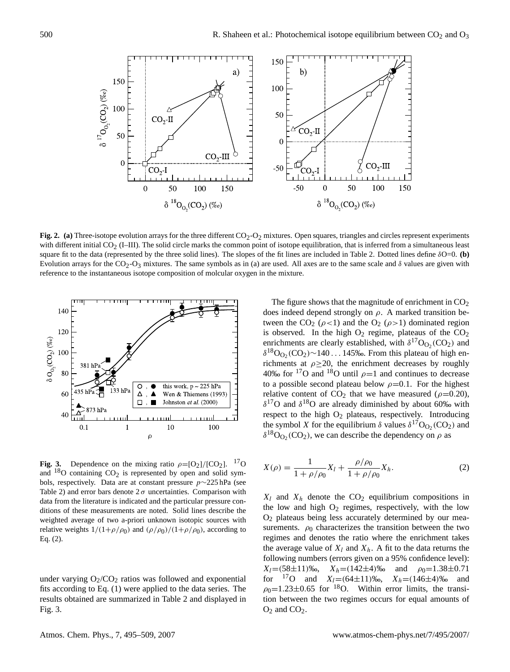

<span id="page-5-0"></span>Fig. 2. (a) Three-isotope evolution arrays for the three different CO<sub>2</sub>-O<sub>2</sub> mixtures. Open squares, triangles and circles represent experiments with different initial  $CO<sub>2</sub>$  (I–III). The solid circle marks the common point of isotope equilibration, that is inferred from a simultaneous least square fit to the data (represented by the three solid lines). The slopes of the fit lines are included in Table [2.](#page-6-0) Dotted lines define δO=0. **(b)** Evolution arrays for the CO<sub>2</sub>-O<sub>3</sub> mixtures. The same symbols as in (a) are used. All axes are to the same scale and  $\delta$  values are given with reference to the instantaneous isotope composition of molcular oxygen in the mixture.



<span id="page-5-2"></span>**Fig. 3.** Dependence on the mixing ratio  $\rho = [O_2]/[CO_2]$ . <sup>17</sup>O and  $18$ O containing  $CO<sub>2</sub>$  is represented by open and solid symbols, respectively. Data are at constant pressure p∼225 hPa (see Table [2\)](#page-6-0) and error bars denote  $2\sigma$  uncertainties. Comparison with data from the literature is indicated and the particular pressure conditions of these measurements are noted. Solid lines describe the weighted average of two a-priori unknown isotopic sources with relative weights  $1/(1+\rho/\rho_0)$  and  $(\rho/\rho_0)/(1+\rho/\rho_0)$ , according to Eq. [\(2\)](#page-5-1).

under varying  $O_2/CO_2$  ratios was followed and exponential fits according to Eq. [\(1\)](#page-3-0) were applied to the data series. The results obtained are summarized in Table [2](#page-6-0) and displayed in Fig. [3.](#page-5-2)

The figure shows that the magnitude of enrichment in  $CO<sub>2</sub>$ does indeed depend strongly on  $\rho$ . A marked transition between the CO<sub>2</sub> ( $\rho$ <1) and the O<sub>2</sub> ( $\rho$ >1) dominated region is observed. In the high  $O_2$  regime, plateaus of the  $CO_2$ enrichments are clearly established, with  $\delta^{17}O_{O_2}(CO_2)$  and  $\delta^{18}O_{O_2}(CO_2)$  ~ 140 . . . 145‰. From this plateau of high enrichments at  $\rho \geq 20$ , the enrichment decreases by roughly 40‰ for <sup>17</sup>O and <sup>18</sup>O until  $\rho$ =1 and continues to decrease to a possible second plateau below  $\rho=0.1$ . For the highest relative content of  $CO<sub>2</sub>$  that we have measured ( $\rho$ =0.20),  $\delta^{17}$ O and  $\delta^{18}$ O are already diminished by about 60‰ with respect to the high  $O_2$  plateaus, respectively. Introducing the symbol X for the equilibrium  $\delta$  values  $\delta^{17}O_{O_2}(CO_2)$  and  $\delta^{18}O_{O_2}(CO_2)$ , we can describe the dependency on  $\rho$  as

<span id="page-5-1"></span>
$$
X(\rho) = \frac{1}{1 + \rho/\rho_0} X_l + \frac{\rho/\rho_0}{1 + \rho/\rho_0} X_h.
$$
 (2)

 $X_l$  and  $X_h$  denote the CO<sub>2</sub> equilibrium compositions in the low and high  $O_2$  regimes, respectively, with the low O<sup>2</sup> plateaus being less accurately determined by our measurements.  $\rho_0$  characterizes the transition between the two regimes and denotes the ratio where the enrichment takes the average value of  $X_l$  and  $X_h$ . A fit to the data returns the following numbers (errors given on a 95% confidence level):  $X_l = (58 \pm 11)\%$ <sub>0</sub>,  $X_h = (142 \pm 4)\%$  and  $\rho_0 = 1.38 \pm 0.71$ for  $^{17}$ O and  $X_l=(64\pm11)\%$ ,  $X_h=(146\pm4)\%$  and  $\rho_0=1.23\pm0.65$  for <sup>18</sup>O. Within error limits, the transition between the two regimes occurs for equal amounts of  $O_2$  and  $CO_2$ .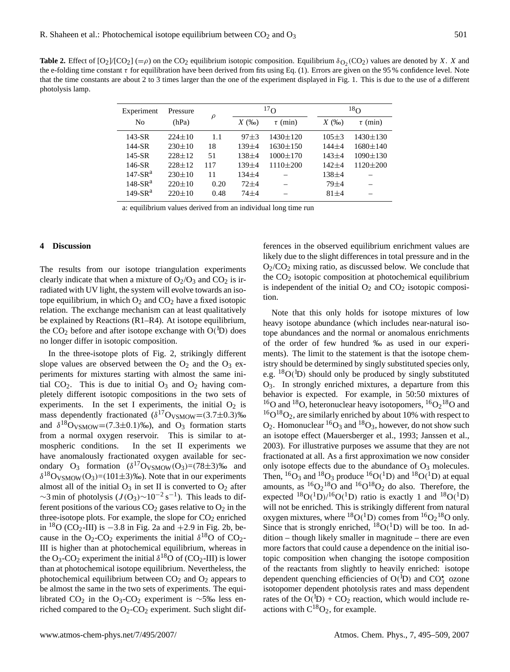<span id="page-6-0"></span>**Table 2.** Effect of  $[O_2]/[CO_2] (= \rho)$  on the CO<sub>2</sub> equilibrium isotopic composition. Equilibrium  $\delta_{O_2}(CO_2)$  values are denoted by X. X and the e-folding time constant τ for equilibration have been derived from fits using Eq. [\(1\)](#page-3-0). Errors are given on the 95 % confidence level. Note that the time constants are about 2 to 3 times larger than the one of the experiment displayed in Fig. [1.](#page-3-2) This is due to the use of a different photolysis lamp.

| Experiment | Pressure     |        |             | $^{17}$ O      |           | $^{18}$ O      |  |  |
|------------|--------------|--------|-------------|----------------|-----------|----------------|--|--|
| No         | (hPa)        | $\rho$ | $X$ (‰)     | $\tau$ (min)   | $X$ (‰)   | $\tau$ (min)   |  |  |
| $143-SR$   | $224 \pm 10$ | 1.1    | $97 + 3$    | $1430 \pm 120$ | $105 + 3$ | $1430 \pm 130$ |  |  |
| 144-SR     | $230 \pm 10$ | 18     | 139±4       | $1630 \pm 150$ | $144 + 4$ | $1680 \pm 140$ |  |  |
| $145-SR$   | $228 + 12$   | 51     | $138 + 4$   | $1000 \pm 170$ | $143 + 4$ | $1090 \pm 130$ |  |  |
| 146-SR     | $228 + 12$   | 117    | $139 \pm 4$ | $1110\pm200$   | $142 + 4$ | $1120 \pm 200$ |  |  |
| $147-SRa$  | $230 \pm 10$ | 11     | $134 + 4$   |                | 138±4     |                |  |  |
| $148-SRa$  | $220 \pm 10$ | 0.20   | $72 + 4$    |                | $79 + 4$  |                |  |  |
| $149-SRa$  | $220 \pm 10$ | 0.48   | $74 + 4$    |                | $81 + 4$  |                |  |  |

a: equilibrium values derived from an individual long time run

## **4 Discussion**

The results from our isotope triangulation experiments clearly indicate that when a mixture of  $O_2/O_3$  and  $CO_2$  is irradiated with UV light, the system will evolve towards an isotope equilibrium, in which  $O_2$  and  $CO_2$  have a fixed isotopic relation. The exchange mechanism can at least qualitatively be explained by Reactions [\(R1–R4\)](#page-0-0). At isotope equilibrium, the  $CO_2$  before and after isotope exchange with  $O(^{1}D)$  does no longer differ in isotopic composition.

In the three-isotope plots of Fig. [2,](#page-5-0) strikingly different slope values are observed between the  $O_2$  and the  $O_3$  experiments for mixtures starting with almost the same initial  $CO<sub>2</sub>$ . This is due to initial  $O<sub>3</sub>$  and  $O<sub>2</sub>$  having completely different isotopic compositions in the two sets of experiments. In the set I experiments, the initial  $O_2$  is mass dependently fractionated  $(\delta^{17}O_{VSMOW} = (3.7 \pm 0.3)\%$ and  $\delta^{18}O_{\text{VSMOW}} = (7.3 \pm 0.1)\%$ , and  $O_3$  formation starts from a normal oxygen reservoir. This is similar to atmospheric conditions. In the set II experiments we have anomalously fractionated oxygen available for secondary  $O_3$  formation  $(\delta^{17}O_{VSMOW}(O_3)=(78\pm3)\%$  and  $\delta^{18}O_{VSMOW}(O_3) = (101 \pm 3)$ %o). Note that in our experiments almost all of the initial  $O_3$  in set II is converted to  $O_2$  after  $\sim$ 3 min of photolysis ( $J$ (O<sub>3</sub>) $\sim$ 10<sup>-2</sup> s<sup>-1</sup>). This leads to different positions of the various  $CO<sub>2</sub>$  gases relative to  $O<sub>2</sub>$  in the three-isotope plots. For example, the slope for  $CO<sub>2</sub>$  enriched in <sup>18</sup>O (CO<sub>2</sub>-III) is −3.8 in Fig. [2a](#page-5-0) and +2.9 in Fig. [2b](#page-5-0), because in the  $O_2$ -CO<sub>2</sub> experiments the initial  $\delta^{18}O$  of CO<sub>2</sub>-III is higher than at photochemical equilibrium, whereas in the O<sub>3</sub>-CO<sub>2</sub> experiment the initial  $\delta^{18}$ O of (CO<sub>2</sub>-III) is lower than at photochemical isotope equilibrium. Nevertheless, the photochemical equilibrium between  $CO<sub>2</sub>$  and  $O<sub>2</sub>$  appears to be almost the same in the two sets of experiments. The equilibrated CO<sub>2</sub> in the O<sub>3</sub>-CO<sub>2</sub> experiment is ∼5‰ less enriched compared to the  $O_2$ -CO<sub>2</sub> experiment. Such slight differences in the observed equilibrium enrichment values are likely due to the slight differences in total pressure and in the O2/CO<sup>2</sup> mixing ratio, as discussed below. We conclude that the  $CO<sub>2</sub>$  isotopic composition at photochemical equilibrium is independent of the initial  $O_2$  and  $CO_2$  isotopic composition.

Note that this only holds for isotope mixtures of low heavy isotope abundance (which includes near-natural isotope abundances and the normal or anomalous enrichments of the order of few hundred ‰ as used in our experiments). The limit to the statement is that the isotope chemistry should be determined by singly substituted species only, e.g.  ${}^{18}O({}^{1}D)$  should only be produced by singly substituted O3. In strongly enriched mixtures, a departure from this behavior is expected. For example, in 50:50 mixtures of <sup>16</sup>O and <sup>18</sup>O, heteronuclear heavy isotopomers, <sup>16</sup>O<sub>2</sub><sup>18</sup>O and  ${}^{16}O^{18}O_2$ , are similarly enriched by about 10% with respect to  $O_2$ . Homonuclear  ${}^{16}O_3$  and  ${}^{18}O_3$ , however, do not show such an isotope effect [\(Mauersberger et al.,](#page-14-11) [1993;](#page-14-11) [Janssen et al.,](#page-13-11) [2003\)](#page-13-11). For illustrative purposes we assume that they are not fractionated at all. As a first approximation we now consider only isotope effects due to the abundance of  $O_3$  molecules. Then,  ${}^{16}O_3$  and  ${}^{18}O_3$  produce  ${}^{16}O({}^{1}D)$  and  ${}^{18}O({}^{1}D)$  at equal amounts, as  ${}^{16}O_2{}^{18}O$  and  ${}^{16}O_1{}^{18}O_2$  do also. Therefore, the expected  ${}^{18}O({}^{1}D)/{}^{16}O({}^{1}D)$  ratio is exactly 1 and  ${}^{18}O({}^{1}D)$ will not be enriched. This is strikingly different from natural oxygen mixtures, where  ${}^{18}O(^1D)$  comes from  ${}^{16}O_2{}^{18}O$  only. Since that is strongly enriched,  ${}^{18}O(^{1}D)$  will be too. In addition – though likely smaller in magnitude – there are even more factors that could cause a dependence on the initial isotopic composition when changing the isotope composition of the reactants from slightly to heavily enriched: isotope dependent quenching efficiencies of  $O(^{1}D)$  and  $CO_{3}^{*}$  ozone isotopomer dependent photolysis rates and mass dependent rates of the  $O(^1D) + CO_2$  reaction, which would include reactions with  $C^{18}O_2$ , for example.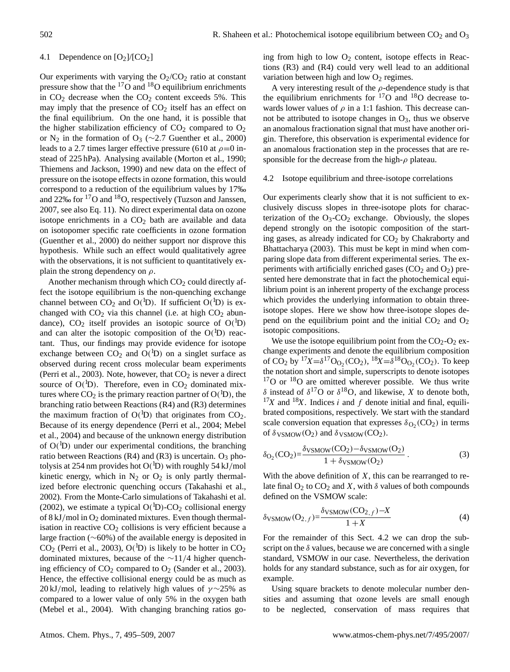## 4.1 Dependence on  $[O_2]/[CO_2]$

Our experiments with varying the  $O_2/CO_2$  ratio at constant pressure show that the  $^{17}$ O and  $^{18}$ O equilibrium enrichments in  $CO<sub>2</sub>$  decrease when the  $CO<sub>2</sub>$  content exceeds 5%. This may imply that the presence of  $CO<sub>2</sub>$  itself has an effect on the final equilibrium. On the one hand, it is possible that the higher stabilization efficiency of  $CO<sub>2</sub>$  compared to  $O<sub>2</sub>$ or N<sub>2</sub> in the formation of O<sub>3</sub> ( $\sim$ 2.7 [Guenther et al.,](#page-13-12) [2000\)](#page-13-12) leads to a 2.7 times larger effective pressure (610 at  $\rho$ =0 instead of 225 hPa). Analysing available [\(Morton et al.,](#page-14-12) [1990;](#page-14-12) [Thiemens and Jackson,](#page-14-13) [1990\)](#page-14-13) and new data on the effect of pressure on the isotope effects in ozone formation, this would correspond to a reduction of the equilibrium values by 17‰ and 22‰ for <sup>17</sup>O and <sup>18</sup>O, respectively [\(Tuzson and Janssen,](#page-14-14) [2007,](#page-14-14) see also Eq. [11\)](#page-8-0). No direct experimental data on ozone isotope enrichments in a  $CO<sub>2</sub>$  bath are available and data on isotopomer specific rate coefficients in ozone formation [\(Guenther et al.,](#page-13-12) [2000\)](#page-13-12) do neither support nor disprove this hypothesis. While such an effect would qualitatively agree with the observations, it is not sufficient to quantitatively explain the strong dependency on  $\rho$ .

Another mechanism through which  $CO<sub>2</sub>$  could directly affect the isotope equilibrium is the non-quenching exchange channel between  $CO_2$  and  $O(^{1}D)$ . If sufficient  $O(^{1}D)$  is exchanged with  $CO<sub>2</sub>$  via this channel (i.e. at high  $CO<sub>2</sub>$  abundance),  $CO_2$  itself provides an isotopic source of  $O(^{1}D)$ and can alter the isotopic composition of the  $O(^{1}D)$  reactant. Thus, our findings may provide evidence for isotope exchange between  $CO_2$  and  $O(^1D)$  on a singlet surface as observed during recent cross molecular beam experiments [\(Perri et al.,](#page-14-4) [2003\)](#page-14-4). Note, however, that  $CO<sub>2</sub>$  is never a direct source of  $O(^{1}D)$ . Therefore, even in  $CO<sub>2</sub>$  dominated mixtures where  $CO_2$  is the primary reaction partner of  $O(^{1}D)$ , the branching ratio between Reactions [\(R4\)](#page-0-0) and [\(R3\)](#page-0-0) determines the maximum fraction of  $O(^1D)$  that originates from  $CO_2$ . Because of its energy dependence [\(Perri et al.,](#page-14-5) [2004;](#page-14-5) [Mebel](#page-14-6) [et al.,](#page-14-6) [2004\)](#page-14-6) and because of the unknown energy distribution of  $O(^{1}D)$  under our experimental conditions, the branching ratio between Reactions [\(R4\)](#page-0-0) and [\(R3\)](#page-0-0) is uncertain.  $O_3$  photolysis at 254 nm provides hot  $O(^1D)$  with roughly 54 kJ/mol kinetic energy, which in  $N_2$  or  $O_2$  is only partly thermalized before electronic quenching occurs [\(Takahashi et al.,](#page-14-15) [2002\)](#page-14-15). From the Monte-Carlo simulations of [Takahashi et al.](#page-14-15) [\(2002\)](#page-14-15), we estimate a typical  $O(^{1}D)$ -CO<sub>2</sub> collisional energy of 8 kJ/mol in  $O_2$  dominated mixtures. Even though thermalisation in reactive  $CO<sub>2</sub>$  collisions is very efficient because a large fraction (∼60%) of the available energy is deposited in  $CO<sub>2</sub>$  [\(Perri et al.,](#page-14-4) [2003\)](#page-14-4),  $O(^{1}D)$  is likely to be hotter in  $CO<sub>2</sub>$ dominated mixtures, because of the ∼11/4 higher quenching efficiency of  $CO_2$  compared to  $O_2$  [\(Sander et al.,](#page-14-16) [2003\)](#page-14-16). Hence, the effective collisional energy could be as much as 20 kJ/mol, leading to relatively high values of  $\gamma \sim 25\%$  as compared to a lower value of only 5% in the oxygen bath [\(Mebel et al.,](#page-14-6) [2004\)](#page-14-6). With changing branching ratios going from high to low  $O_2$  content, isotope effects in Reactions [\(R3\)](#page-0-0) and [\(R4\)](#page-0-0) could very well lead to an additional variation between high and low  $O_2$  regimes.

A very interesting result of the  $\rho$ -dependence study is that the equilibrium enrichments for  $17O$  and  $18O$  decrease towards lower values of  $\rho$  in a 1:1 fashion. This decrease cannot be attributed to isotope changes in  $O_3$ , thus we observe an anomalous fractionation signal that must have another origin. Therefore, this observation is experimental evidence for an anomalous fractionation step in the processes that are responsible for the decrease from the high- $\rho$  plateau.

## <span id="page-7-0"></span>4.2 Isotope equilibrium and three-isotope correlations

Our experiments clearly show that it is not sufficient to exclusively discuss slopes in three-isotope plots for characterization of the  $O_3$ - $CO_2$  exchange. Obviously, the slopes depend strongly on the isotopic composition of the starting gases, as already indicated for  $CO<sub>2</sub>$  by [Chakraborty and](#page-13-8) [Bhattacharya](#page-13-8) [\(2003\)](#page-13-8). This must be kept in mind when comparing slope data from different experimental series. The experiments with artificially enriched gases  $(CO<sub>2</sub>$  and  $O<sub>2</sub>)$  presented here demonstrate that in fact the photochemical equilibrium point is an inherent property of the exchange process which provides the underlying information to obtain threeisotope slopes. Here we show how three-isotope slopes depend on the equilibrium point and the initial  $CO<sub>2</sub>$  and  $O<sub>2</sub>$ isotopic compositions.

We use the isotope equilibrium point from the  $CO<sub>2</sub>-O<sub>2</sub>$  exchange experiments and denote the equilibrium composition of CO<sub>2</sub> by <sup>17</sup>X= $\delta^{17}O_{O_2}(CO_2)$ , <sup>18</sup>X= $\delta^{18}O_{O_2}(CO_2)$ . To keep the notation short and simple, superscripts to denote isotopes  $17$ O or  $18$ O are omitted wherever possible. We thus write δ instead of  $\delta^{17}$ O or  $\delta^{18}$ O, and likewise, X to denote both,  $17X$  and  $18X$ . Indices i and f denote initial and final, equilibrated compositions, respectively. We start with the standard scale conversion equation that expresses  $\delta_{\text{O}_2}(\text{CO}_2)$  in terms of  $\delta$ <sub>VSMOW</sub>( $O_2$ ) and  $\delta$ <sub>VSMOW</sub>( $CO_2$ ).

$$
\delta_{\text{O}_2}(\text{CO}_2) = \frac{\delta_{\text{VSMOW}}(\text{CO}_2) - \delta_{\text{VSMOW}}(\text{O}_2)}{1 + \delta_{\text{VSMOW}}(\text{O}_2)}\,. \tag{3}
$$

With the above definition of  $X$ , this can be rearranged to relate final  $O_2$  to  $CO_2$  and X, with  $\delta$  values of both compounds defined on the VSMOW scale:

<span id="page-7-1"></span>
$$
\delta_{\text{VSMOW}}(\mathbf{O}_{2,f}) = \frac{\delta_{\text{VSMOW}}(\mathbf{CO}_{2,f}) - X}{1 + X} \tag{4}
$$

For the remainder of this Sect. [4.2](#page-7-0) we can drop the subscript on the  $\delta$  values, because we are concerned with a single standard, VSMOW in our case. Nevertheless, the derivation holds for any standard substance, such as for air oxygen, for example.

Using square brackets to denote molecular number densities and assuming that ozone levels are small enough to be neglected, conservation of mass requires that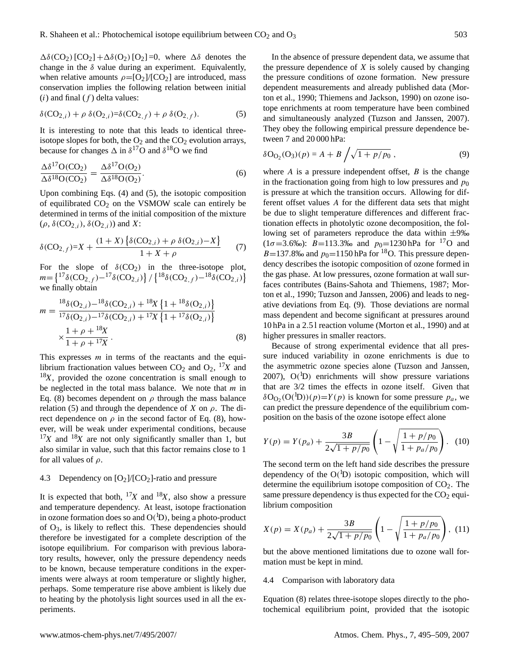$\Delta\delta(CO_2)[CO_2]+\Delta\delta(O_2)[O_2]=0$ , where  $\Delta\delta$  denotes the change in the  $\delta$  value during an experiment. Equivalently, when relative amounts  $\rho = [O_2]/[CO_2]$  are introduced, mass conservation implies the following relation between initial  $(i)$  and final  $(f)$  delta values:

<span id="page-8-1"></span>
$$
\delta({\rm CO}_{2,i}) + \rho \ \delta({\rm O}_{2,i}) = \delta({\rm CO}_{2,f}) + \rho \ \delta({\rm O}_{2,f}). \tag{5}
$$

It is interesting to note that this leads to identical threeisotope slopes for both, the  $O_2$  and the  $CO_2$  evolution arrays, because for changes  $\Delta$  in  $\delta^{17}$ O and  $\delta^{18}$ O we find

$$
\frac{\Delta \delta^{17} O(CO_2)}{\Delta \delta^{18} O(CO_2)} = \frac{\Delta \delta^{17} O(O_2)}{\Delta \delta^{18} O(O_2)}.
$$
\n(6)

Upon combining Eqs. [\(4\)](#page-7-1) and [\(5\)](#page-8-1), the isotopic composition of equilibrated  $CO<sub>2</sub>$  on the VSMOW scale can entirely be determined in terms of the initial composition of the mixture  $(\rho, \delta(CO_{2,i}), \delta(O_{2,i}))$  and X:

$$
\delta(\text{CO}_{2,f}) = X + \frac{(1+X)\left\{\delta(\text{CO}_{2,i}) + \rho \ \delta(\text{O}_{2,i}) - X\right\}}{1+X+\rho} \tag{7}
$$

For the slope of  $\delta(CO_2)$  in the three-isotope plot,  $m = \left\{ {}^{17}\delta(\text{CO}_{2,f}) - {}^{17}\delta(\text{CO}_{2,i}) \right\} / \left\{ {}^{18}\delta(\text{CO}_{2,f}) - {}^{18}\delta(\text{CO}_{2,i}) \right\}$ we finally obtain

<span id="page-8-2"></span>
$$
m = \frac{{}^{18}\delta(\mathcal{O}_{2,i}) - {}^{18}\delta(\mathcal{CO}_{2,i}) + {}^{18}X \{1 + {}^{18}\delta(\mathcal{O}_{2,i})\} }{{}^{17}\delta(\mathcal{O}_{2,i}) - {}^{17}\delta(\mathcal{CO}_{2,i}) + {}^{17}X \{1 + {}^{17}\delta(\mathcal{O}_{2,i})\} } \times \frac{1 + \rho + {}^{18}X}{1 + \rho + {}^{17}X}.
$$
 (8)

This expresses  $m$  in terms of the reactants and the equilibrium fractionation values between  $CO_2$  and  $O_2$ ,  $^{17}X$  and  $18X$ , provided the ozone concentration is small enough to be neglected in the total mass balance. We note that  $m$  in Eq. [\(8\)](#page-8-2) becomes dependent on  $\rho$  through the mass balance relation [\(5\)](#page-8-1) and through the dependence of X on  $\rho$ . The direct dependence on  $\rho$  in the second factor of Eq. [\(8\)](#page-8-2), however, will be weak under experimental conditions, because  $17X$  and  $18X$  are not only significantly smaller than 1, but also similar in value, such that this factor remains close to 1 for all values of  $\rho$ .

## <span id="page-8-4"></span>4.3 Dependency on  $[O_2]/[CO_2]$ -ratio and pressure

It is expected that both,  $^{17}X$  and  $^{18}X$ , also show a pressure and temperature dependency. At least, isotope fractionation in ozone formation does so and  $O(^1D)$ , being a photo-product of  $O_3$ , is likely to reflect this. These dependencies should therefore be investigated for a complete description of the isotope equilibrium. For comparison with previous laboratory results, however, only the pressure dependency needs to be known, because temperature conditions in the experiments were always at room temperature or slightly higher, perhaps. Some temperature rise above ambient is likely due to heating by the photolysis light sources used in all the experiments.

In the absence of pressure dependent data, we assume that the pressure dependence of  $X$  is solely caused by changing the pressure conditions of ozone formation. New pressure dependent measurements and already published data [\(Mor](#page-14-12)[ton et al.,](#page-14-12) [1990;](#page-14-12) [Thiemens and Jackson,](#page-14-13) [1990\)](#page-14-13) on ozone isotope enrichments at room temperature have been combined and simultaneously analyzed [\(Tuzson and Janssen,](#page-14-14) [2007\)](#page-14-14). They obey the following empirical pressure dependence between 7 and 20 000 hPa:

<span id="page-8-3"></span>
$$
\delta O_{O_2}(O_3)(p) = A + B / \sqrt{1 + p/p_0}, \qquad (9)
$$

where  $A$  is a pressure independent offset,  $B$  is the change in the fractionation going from high to low pressures and  $p_0$ is pressure at which the transition occurs. Allowing for different offset values A for the different data sets that might be due to slight temperature differences and different fractionation effects in photolytic ozone decomposition, the following set of parameters reproduce the data within  $\pm 9\%$  $(1\sigma=3.6\%)$ : B=113.3‰ and  $p_0=1230$  hPa for <sup>17</sup>O and  $B=137.8\%$  and  $p_0=1150$  hPa for <sup>18</sup>O. This pressure dependency describes the isotopic composition of ozone formed in the gas phase. At low pressures, ozone formation at wall surfaces contributes [\(Bains-Sahota and Thiemens,](#page-13-13) [1987;](#page-13-13) [Mor](#page-14-12)[ton et al.,](#page-14-12) [1990;](#page-14-12) [Tuzson and Janssen,](#page-14-17) [2006\)](#page-14-17) and leads to negative deviations from Eq. [\(9\)](#page-8-3). Those deviations are normal mass dependent and become significant at pressures around 10 hPa in a 2.5 l reaction volume [\(Morton et al.,](#page-14-12) [1990\)](#page-14-12) and at higher pressures in smaller reactors.

Because of strong experimental evidence that all pressure induced variability in ozone enrichments is due to the asymmetric ozone species alone [\(Tuzson and Janssen,](#page-14-14) [2007\)](#page-14-14),  $O(^{1}D)$  enrichments will show pressure variations that are 3/2 times the effects in ozone itself. Given that  $\delta O_{Q_2}(O(^1D))(p) = Y(p)$  is known for some pressure  $p_a$ , we can predict the pressure dependence of the equilibrium composition on the basis of the ozone isotope effect alone

$$
Y(p) = Y(p_a) + \frac{3B}{2\sqrt{1 + p/p_0}} \left(1 - \sqrt{\frac{1 + p/p_0}{1 + p_a/p_0}}\right). \tag{10}
$$

The second term on the left hand side describes the pressure dependency of the  $O(^{1}D)$  isotopic composition, which will determine the equilibrium isotope composition of  $CO<sub>2</sub>$ . The same pressure dependency is thus expected for the  $CO<sub>2</sub>$  equilibrium composition

<span id="page-8-0"></span>
$$
X(p) = X(p_a) + \frac{3B}{2\sqrt{1 + p/p_0}} \left(1 - \sqrt{\frac{1 + p/p_0}{1 + p_a/p_0}}\right), (11)
$$

but the above mentioned limitations due to ozone wall formation must be kept in mind.

## 4.4 Comparison with laboratory data

Equation [\(8\)](#page-8-2) relates three-isotope slopes directly to the photochemical equilibrium point, provided that the isotopic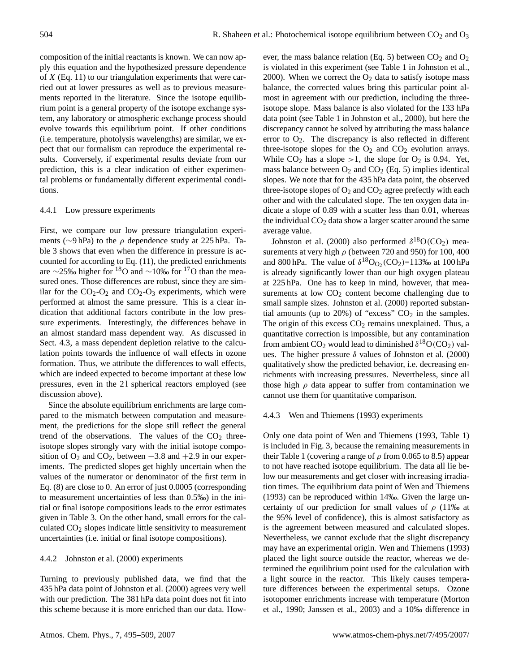composition of the initial reactants is known. We can now apply this equation and the hypothesized pressure dependence of  $X$  (Eq. [11\)](#page-8-0) to our triangulation experiments that were carried out at lower pressures as well as to previous measurements reported in the literature. Since the isotope equilibrium point is a general property of the isotope exchange system, any laboratory or atmospheric exchange process should evolve towards this equilibrium point. If other conditions (i.e. temperature, photolysis wavelengths) are similar, we expect that our formalism can reproduce the experimental results. Conversely, if experimental results deviate from our prediction, this is a clear indication of either experimental problems or fundamentally different experimental conditions.

## 4.4.1 Low pressure experiments

First, we compare our low pressure triangulation experiments (∼9 hPa) to the ρ dependence study at 225 hPa. Table [3](#page-10-0) shows that even when the difference in pressure is accounted for according to Eq. [\(11\)](#page-8-0), the predicted enrichments are ∼25‰ higher for <sup>18</sup>O and ∼10‰ for <sup>17</sup>O than the measured ones. Those differences are robust, since they are similar for the  $CO_2-O_2$  and  $CO_2-O_3$  experiments, which were performed at almost the same pressure. This is a clear indication that additional factors contribute in the low pressure experiments. Interestingly, the differences behave in an almost standard mass dependent way. As discussed in Sect. [4.3,](#page-8-4) a mass dependent depletion relative to the calculation points towards the influence of wall effects in ozone formation. Thus, we attribute the differences to wall effects, which are indeed expected to become important at these low pressures, even in the 21 spherical reactors employed (see discussion above).

Since the absolute equilibrium enrichments are large compared to the mismatch between computation and measurement, the predictions for the slope still reflect the general trend of the observations. The values of the  $CO<sub>2</sub>$  threeisotope slopes strongly vary with the initial isotope composition of  $O_2$  and  $CO_2$ , between  $-3.8$  and  $+2.9$  in our experiments. The predicted slopes get highly uncertain when the values of the numerator or denominator of the first term in Eq. [\(8\)](#page-8-2) are close to 0. An error of just 0.0005 (corresponding to measurement uncertainties of less than 0.5‰) in the initial or final isotope compositions leads to the error estimates given in Table [3.](#page-10-0) On the other hand, small errors for the calculated  $CO<sub>2</sub>$  slopes indicate little sensitivity to measurement uncertainties (i.e. initial or final isotope compositions).

## 4.4.2 [Johnston et al.](#page-13-7) [\(2000\)](#page-13-7) experiments

Turning to previously published data, we find that the 435 hPa data point of [Johnston et al.](#page-13-7) [\(2000\)](#page-13-7) agrees very well with our prediction. The 381 hPa data point does not fit into this scheme because it is more enriched than our data. However, the mass balance relation (Eq. [5\)](#page-8-1) between  $CO<sub>2</sub>$  and  $O<sub>2</sub>$ is violated in this experiment (see Table 1 in [Johnston et al.,](#page-13-7) [2000\)](#page-13-7). When we correct the  $O_2$  data to satisfy isotope mass balance, the corrected values bring this particular point almost in agreement with our prediction, including the threeisotope slope. Mass balance is also violated for the 133 hPa data point (see Table 1 in [Johnston et al.,](#page-13-7) [2000\)](#page-13-7), but here the discrepancy cannot be solved by attributing the mass balance error to  $O_2$ . The discrepancy is also reflected in different three-isotope slopes for the  $O_2$  and  $CO_2$  evolution arrays. While  $CO<sub>2</sub>$  has a slope >1, the slope for  $O<sub>2</sub>$  is 0.94. Yet, mass balance between  $O_2$  and  $CO_2$  (Eq. [5\)](#page-8-1) implies identical slopes. We note that for the 435 hPa data point, the observed three-isotope slopes of  $O_2$  and  $CO_2$  agree prefectly with each other and with the calculated slope. The ten oxygen data indicate a slope of 0.89 with a scatter less than 0.01, whereas the individual  $CO<sub>2</sub>$  data show a larger scatter around the same average value.

[Johnston et al.](#page-13-7) [\(2000\)](#page-13-7) also performed  $\delta^{18}O(CO_2)$  measurements at very high  $\rho$  (between 720 and 950) for 100, 400 and 800 hPa. The value of  $\delta^{18}O_{O_2}(CO_2) = 113\%$  at 100 hPa is already significantly lower than our high oxygen plateau at 225 hPa. One has to keep in mind, however, that measurements at low  $CO<sub>2</sub>$  content become challenging due to small sample sizes. [Johnston et al.](#page-13-7) [\(2000\)](#page-13-7) reported substantial amounts (up to 20%) of "excess"  $CO<sub>2</sub>$  in the samples. The origin of this excess  $CO<sub>2</sub>$  remains unexplained. Thus, a quantitative correction is impossible, but any contamination from ambient  $CO_2$  would lead to diminished  $\delta^{18}O(CO_2)$  values. The higher pressure  $\delta$  values of [Johnston et al.](#page-13-7) [\(2000\)](#page-13-7) qualitatively show the predicted behavior, i.e. decreasing enrichments with increasing pressures. Nevertheless, since all those high  $\rho$  data appear to suffer from contamination we cannot use them for quantitative comparison.

#### 4.4.3 [Wen and Thiemens](#page-14-9) [\(1993\)](#page-14-9) experiments

Only one data point of [Wen and Thiemens](#page-14-9) [\(1993,](#page-14-9) Table 1) is included in Fig. [3,](#page-5-2) because the remaining measurements in their Table 1 (covering a range of  $\rho$  from 0.065 to 8.5) appear to not have reached isotope equilibrium. The data all lie below our measurements and get closer with increasing irradiation times. The equilibrium data point of [Wen and Thiemens](#page-14-9) [\(1993\)](#page-14-9) can be reproduced within 14‰. Given the large uncertainty of our prediction for small values of  $\rho$  (11‰ at the 95% level of confidence), this is almost satisfactory as is the agreement between measured and calculated slopes. Nevertheless, we cannot exclude that the slight discrepancy may have an experimental origin. [Wen and Thiemens](#page-14-9) [\(1993\)](#page-14-9) placed the light source outside the reactor, whereas we determined the equilibrium point used for the calculation with a light source in the reactor. This likely causes temperature differences between the experimental setups. Ozone isotopomer enrichments increase with temperature [\(Morton](#page-14-12) [et al.,](#page-14-12) [1990;](#page-14-12) [Janssen et al.,](#page-13-11) [2003\)](#page-13-11) and a 10‰ difference in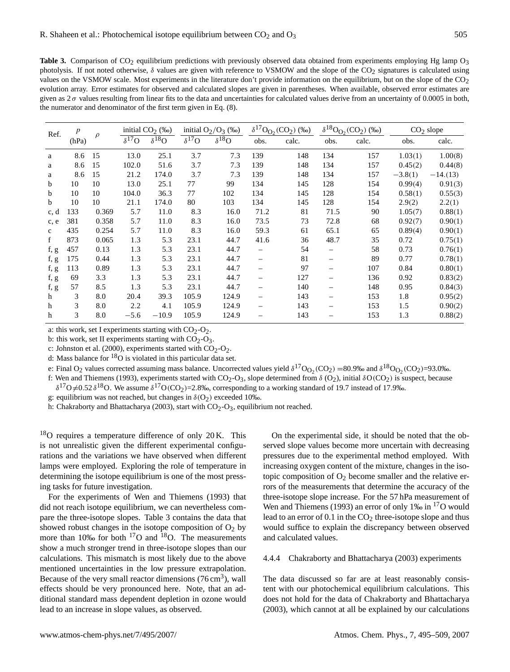<span id="page-10-0"></span>Table 3. Comparison of CO<sub>2</sub> equilibrium predictions with previously observed data obtained from experiments employing Hg lamp O<sub>3</sub> photolysis. If not noted otherwise,  $\delta$  values are given with reference to VSMOW and the slope of the CO<sub>2</sub> signatures is calculated using values on the VSMOW scale. Most experiments in the literature don't provide information on the equilibrium, but on the slope of the CO<sub>2</sub> evolution array. Error estimates for observed and calculated slopes are given in parentheses. When available, observed error estimates are given as  $2\sigma$  values resulting from linear fits to the data and uncertainties for calculated values derive from an uncertainty of 0.0005 in both, the numerator and denominator of the first term given in Eq. [\(8\)](#page-8-2).

| Ref.         | $\boldsymbol{p}$<br>(hPa) | $\rho$ | initial $CO2$ (‰)         |                 | initial $O_2/O_3$ (‰) |                 | $\delta^{17}O_{O_2}(CO_2)$ (%0) |       | $\delta^{18}O_{O_2}(CO_2)$ (‰) |       | $CO2$ slope |           |
|--------------|---------------------------|--------|---------------------------|-----------------|-----------------------|-----------------|---------------------------------|-------|--------------------------------|-------|-------------|-----------|
|              |                           |        | $\overline{\delta^{17}O}$ | $\delta^{18}$ O | $\delta^{17}$ O       | $\delta^{18}$ O | obs.                            | calc. | obs.                           | calc. | obs.        | calc.     |
| a            | 8.6                       | 15     | 13.0                      | 25.1            | 3.7                   | 7.3             | 139                             | 148   | 134                            | 157   | 1.03(1)     | 1.00(8)   |
| a            | 8.6                       | 15     | 102.0                     | 51.6            | 3.7                   | 7.3             | 139                             | 148   | 134                            | 157   | 0.45(2)     | 0.44(8)   |
| a            | 8.6                       | 15     | 21.2                      | 174.0           | 3.7                   | 7.3             | 139                             | 148   | 134                            | 157   | $-3.8(1)$   | $-14(13)$ |
| b            | 10                        | 10     | 13.0                      | 25.1            | 77                    | 99              | 134                             | 145   | 128                            | 154   | 0.99(4)     | 0.91(3)   |
| b            | 10                        | 10     | 104.0                     | 36.3            | 77                    | 102             | 134                             | 145   | 128                            | 154   | 0.58(1)     | 0.55(3)   |
| b            | 10                        | 10     | 21.1                      | 174.0           | 80                    | 103             | 134                             | 145   | 128                            | 154   | 2.9(2)      | 2.2(1)    |
| c, d         | 133                       | 0.369  | 5.7                       | 11.0            | 8.3                   | 16.0            | 71.2                            | 81    | 71.5                           | 90    | 1.05(7)     | 0.88(1)   |
| c, e         | 381                       | 0.358  | 5.7                       | 11.0            | 8.3                   | 16.0            | 73.5                            | 73    | 72.8                           | 68    | 0.92(7)     | 0.90(1)   |
| $\mathbf{c}$ | 435                       | 0.254  | 5.7                       | 11.0            | 8.3                   | 16.0            | 59.3                            | 61    | 65.1                           | 65    | 0.89(4)     | 0.90(1)   |
| f            | 873                       | 0.065  | 1.3                       | 5.3             | 23.1                  | 44.7            | 41.6                            | 36    | 48.7                           | 35    | 0.72        | 0.75(1)   |
| f, g         | 457                       | 0.13   | 1.3                       | 5.3             | 23.1                  | 44.7            | $\qquad \qquad -$               | 54    |                                | 58    | 0.73        | 0.76(1)   |
| f, g         | 175                       | 0.44   | 1.3                       | 5.3             | 23.1                  | 44.7            | $\qquad \qquad -$               | 81    | $\overline{\phantom{0}}$       | 89    | 0.77        | 0.78(1)   |
| f, g         | 113                       | 0.89   | 1.3                       | 5.3             | 23.1                  | 44.7            | $\qquad \qquad -$               | 97    |                                | 107   | 0.84        | 0.80(1)   |
| f, g         | 69                        | 3.3    | 1.3                       | 5.3             | 23.1                  | 44.7            | $\qquad \qquad -$               | 127   |                                | 136   | 0.92        | 0.83(2)   |
| f, g         | 57                        | 8.5    | 1.3                       | 5.3             | 23.1                  | 44.7            | $\qquad \qquad -$               | 140   |                                | 148   | 0.95        | 0.84(3)   |
| h            | 3                         | 8.0    | 20.4                      | 39.3            | 105.9                 | 124.9           | $\overline{\phantom{0}}$        | 143   |                                | 153   | 1.8         | 0.95(2)   |
| h            | 3                         | 8.0    | 2.2                       | 4.1             | 105.9                 | 124.9           |                                 | 143   |                                | 153   | 1.5         | 0.90(2)   |
| h            | 3                         | 8.0    | $-5.6$                    | $-10.9$         | 105.9                 | 124.9           | —                               | 143   |                                | 153   | 1.3         | 0.88(2)   |

a: this work, set I experiments starting with  $CO<sub>2</sub>-O<sub>2</sub>$ .

b: this work, set II experiments starting with  $CO<sub>2</sub>-O<sub>3</sub>$ .

c: [Johnston et al.](#page-13-7) [\(2000\)](#page-13-7), experiments started with  $CO<sub>2</sub>-O<sub>2</sub>$ .

d: Mass balance for  ${}^{18}O$  is violated in this particular data set.

e: Final O<sub>2</sub> values corrected assuming mass balance. Uncorrected values yield  $\delta^{17}O_{O_2}(CO_2)$  =80.9‰ and  $\delta^{18}O_{O_2}(CO_2)$ =93.0‰.

f: [Wen and Thiemens](#page-14-9) [\(1993\)](#page-14-9), experiments started with CO<sub>2</sub>-O<sub>3</sub>, slope determined from  $\delta$  (O<sub>2</sub>), initial  $\delta$ O(CO<sub>2</sub>) is suspect, because  $\delta^{17}O \neq 0.52 \delta^{18}O$ . We assume  $\delta^{17}O(CO_2) = 2.8\%$ , corresponding to a working standard of 19.7 instead of 17.9‰.

g: equilibrium was not reached, but changes in  $\delta(O_2)$  exceeded 10‰.

h: [Chakraborty and Bhattacharya](#page-13-8) [\(2003\)](#page-13-8), start with  $CO<sub>2</sub>-O<sub>3</sub>$ , equilibrium not reached.

 $18$ O requires a temperature difference of only 20 K. This is not unrealistic given the different experimental configurations and the variations we have observed when different lamps were employed. Exploring the role of temperature in determining the isotope equilibrium is one of the most pressing tasks for future investigation.

For the experiments of [Wen and Thiemens](#page-14-9) [\(1993\)](#page-14-9) that did not reach isotope equilibrium, we can nevertheless compare the three-isotope slopes. Table [3](#page-10-0) contains the data that showed robust changes in the isotope composition of  $O_2$  by more than 10‰ for both  $17$ O and  $18$ O. The measurements show a much stronger trend in three-isotope slopes than our calculations. This mismatch is most likely due to the above mentioned uncertainties in the low pressure extrapolation. Because of the very small reactor dimensions  $(76 \text{ cm}^3)$ , wall effects should be very pronounced here. Note, that an additional standard mass dependent depletion in ozone would lead to an increase in slope values, as observed.

On the experimental side, it should be noted that the observed slope values become more uncertain with decreasing pressures due to the experimental method employed. With increasing oxygen content of the mixture, changes in the isotopic composition of  $O_2$  become smaller and the relative errors of the measurements that determine the accuracy of the three-isotope slope increase. For the 57 hPa measurement of [Wen and Thiemens](#page-14-9) [\(1993\)](#page-14-9) an error of only 1‰ in <sup>17</sup>O would lead to an error of  $0.1$  in the  $CO<sub>2</sub>$  three-isotope slope and thus would suffice to explain the discrepancy between observed and calculated values.

4.4.4 [Chakraborty and Bhattacharya](#page-13-8) [\(2003\)](#page-13-8) experiments

The data discussed so far are at least reasonably consistent with our photochemical equilibrium calculations. This does not hold for the data of [Chakraborty and Bhattacharya](#page-13-8) [\(2003\)](#page-13-8), which cannot at all be explained by our calculations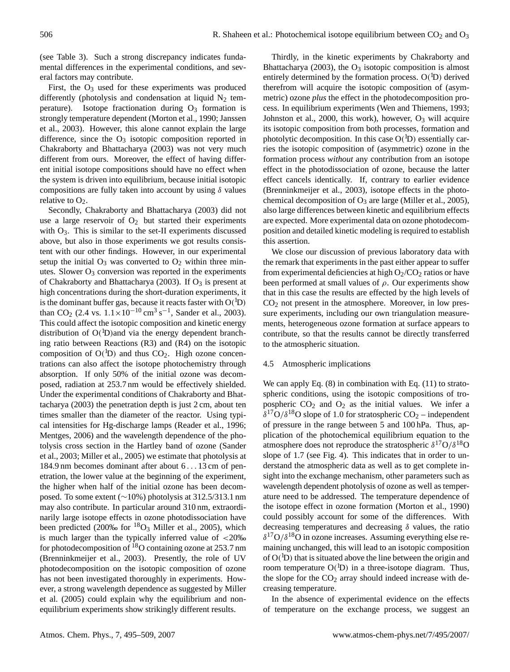(see Table [3\)](#page-10-0). Such a strong discrepancy indicates fundamental differences in the experimental conditions, and several factors may contribute.

First, the  $O_3$  used for these experiments was produced differently (photolysis and condensation at liquid  $N_2$  temperature). Isotope fractionation during  $O<sub>3</sub>$  formation is strongly temperature dependent [\(Morton et al.,](#page-14-12) [1990;](#page-14-12) [Janssen](#page-13-11) [et al.,](#page-13-11) [2003\)](#page-13-11). However, this alone cannot explain the large difference, since the  $O_3$  isotopic composition reported in [Chakraborty and Bhattacharya](#page-13-8) [\(2003\)](#page-13-8) was not very much different from ours. Moreover, the effect of having different initial isotope compositions should have no effect when the system is driven into equilibrium, because initial isotopic compositions are fully taken into account by using  $\delta$  values relative to  $O_2$ .

Secondly, [Chakraborty and Bhattacharya](#page-13-8) [\(2003\)](#page-13-8) did not use a large reservoir of  $O_2$  but started their experiments with  $O_3$ . This is similar to the set-II experiments discussed above, but also in those experiments we got results consistent with our other findings. However, in our experimental setup the initial  $O_3$  was converted to  $O_2$  within three minutes. Slower  $O_3$  conversion was reported in the experiments of [Chakraborty and Bhattacharya](#page-13-8) [\(2003\)](#page-13-8). If  $O_3$  is present at high concentrations during the short-duration experiments, it is the dominant buffer gas, because it reacts faster with  $O(^{1}D)$ than CO<sub>2</sub> (2.4 vs.  $1.1 \times 10^{-10}$  cm<sup>3</sup> s<sup>-1</sup>, [Sander et al.,](#page-14-16) [2003\)](#page-14-16). This could affect the isotopic composition and kinetic energy distribution of  $O(^{1}D)$  and via the energy dependent branching ratio between Reactions [\(R3\)](#page-0-0) and [\(R4\)](#page-0-0) on the isotopic composition of  $O(^{1}D)$  and thus  $CO<sub>2</sub>$ . High ozone concentrations can also affect the isotope photochemistry through absorption. If only 50% of the initial ozone was decomposed, radiation at 253.7 nm would be effectively shielded. Under the experimental conditions of [Chakraborty and Bhat](#page-13-8)[tacharya](#page-13-8) [\(2003\)](#page-13-8) the penetration depth is just 2 cm, about ten times smaller than the diameter of the reactor. Using typical intensities for Hg-discharge lamps [\(Reader et al.,](#page-14-18) [1996;](#page-14-18) [Mentges,](#page-14-19) [2006\)](#page-14-19) and the wavelength dependence of the photolysis cross section in the Hartley band of ozone [\(Sander](#page-14-16) [et al.,](#page-14-16) [2003;](#page-14-16) [Miller et al.,](#page-14-20) [2005\)](#page-14-20) we estimate that photolysis at 184.9 nm becomes dominant after about 6 . . . 13 cm of penetration, the lower value at the beginning of the experiment, the higher when half of the initial ozone has been decomposed. To some extent (∼10%) photolysis at 312.5/313.1 nm may also contribute. In particular around 310 nm, extraordinarily large isotope effects in ozone photodissociation have been predicted (200‰ for  ${}^{18}O_3$  [Miller et al.,](#page-14-20) [2005\)](#page-14-20), which is much larger than the typically inferred value of  $\langle 20\% \rangle$ for photodecomposition of  $^{18}$ O containing ozone at 253.7 nm [\(Brenninkmeijer et al.,](#page-13-5) [2003\)](#page-13-5). Presently, the role of UV photodecomposition on the isotopic composition of ozone has not been investigated thoroughly in experiments. However, a strong wavelength dependence as suggested by [Miller](#page-14-20) [et al.](#page-14-20) [\(2005\)](#page-14-20) could explain why the equilibrium and nonequilibrium experiments show strikingly different results.

Thirdly, in the kinetic experiments by [Chakraborty and](#page-13-8) [Bhattacharya](#page-13-8) [\(2003\)](#page-13-8), the  $O_3$  isotopic composition is almost entirely determined by the formation process.  $O(^{1}D)$  derived therefrom will acquire the isotopic composition of (asymmetric) ozone *plus* the effect in the photodecomposition process. In equilibrium experiments [\(Wen and Thiemens,](#page-14-9) [1993;](#page-14-9) [Johnston et al.,](#page-13-7) [2000,](#page-13-7) this work), however,  $O_3$  will acquire its isotopic composition from both processes, formation and photolytic decomposition. In this case  $O(^1D)$  essentially carries the isotopic composition of (asymmetric) ozone in the formation process *without* any contribution from an isotope effect in the photodissociation of ozone, because the latter effect cancels identically. If, contrary to earlier evidence [\(Brenninkmeijer et al.,](#page-13-5) [2003\)](#page-13-5), isotope effects in the photochemical decomposition of  $O_3$  are large [\(Miller et al.,](#page-14-20) [2005\)](#page-14-20), also large differences between kinetic and equilibrium effects are expected. More experimental data on ozone photodecomposition and detailed kinetic modeling is required to establish this assertion.

We close our discussion of previous laboratory data with the remark that experiments in the past either appear to suffer from experimental deficiencies at high  $O_2/CO_2$  ratios or have been performed at small values of  $\rho$ . Our experiments show that in this case the results are effected by the high levels of  $CO<sub>2</sub>$  not present in the atmosphere. Moreover, in low pressure experiments, including our own triangulation measurements, heterogeneous ozone formation at surface appears to contribute, so that the results cannot be directly transferred to the atmospheric situation.

## 4.5 Atmospheric implications

We can apply Eq.  $(8)$  in combination with Eq.  $(11)$  to stratospheric conditions, using the isotopic compositions of tropospheric  $CO<sub>2</sub>$  and  $O<sub>2</sub>$  as the initial values. We infer a  $\delta^{17}O/\delta^{18}O$  slope of 1.0 for stratospheric CO<sub>2</sub> – independent of pressure in the range between 5 and 100 hPa. Thus, application of the photochemical equilibrium equation to the atmosphere does not reproduce the stratospheric  $\delta^{17}O/\delta^{18}O$ slope of 1.7 (see Fig. [4\)](#page-12-0). This indicates that in order to understand the atmospheric data as well as to get complete insight into the exchange mechanism, other parameters such as wavelength dependent photolysis of ozone as well as temperature need to be addressed. The temperature dependence of the isotope effect in ozone formation [\(Morton et al.,](#page-14-12) [1990\)](#page-14-12) could possibly account for some of the differences. With decreasing temperatures and decreasing  $\delta$  values, the ratio  $\delta^{17}O/\delta^{18}O$  in ozone increases. Assuming everything else remaining unchanged, this will lead to an isotopic composition of  $O(^1D)$  that is situated above the line between the origin and room temperature  $O(^1D)$  in a three-isotope diagram. Thus, the slope for the CO<sub>2</sub> array should indeed increase with decreasing temperature.

In the absence of experimental evidence on the effects of temperature on the exchange process, we suggest an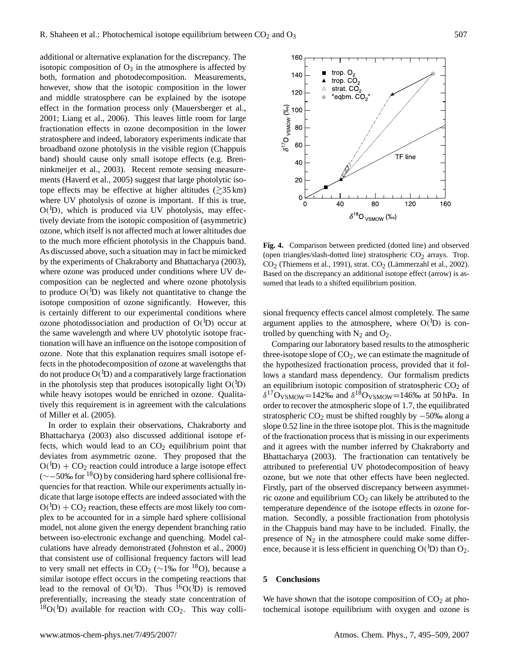additional or alternative explanation for the discrepancy. The isotopic composition of  $O_3$  in the atmosphere is affected by both, formation and photodecomposition. Measurements, however, show that the isotopic composition in the lower and middle stratosphere can be explained by the isotope effect in the formation process only [\(Mauersberger et al.,](#page-14-7) [2001;](#page-14-7) [Liang et al.,](#page-13-14) [2006\)](#page-13-14). This leaves little room for large fractionation effects in ozone decomposition in the lower stratosphere and indeed, laboratory experiments indicate that broadband ozone photolysis in the visible region (Chappuis band) should cause only small isotope effects (e.g. [Bren](#page-13-5)[ninkmeijer et al.,](#page-13-5) [2003\)](#page-13-5). Recent remote sensing measurements [\(Haverd et al.,](#page-13-15) [2005\)](#page-13-15) suggest that large photolytic isotope effects may be effective at higher altitudes  $($ >35 km) where UV photolysis of ozone is important. If this is true, O( <sup>1</sup>D), which is produced via UV photolysis, may effectively deviate from the isotopic composition of (asymmetric) ozone, which itself is not affected much at lower altitudes due to the much more efficient photolysis in the Chappuis band. As discussed above, such a situation may in fact be mimicked by the experiments of [Chakraborty and Bhattacharya](#page-13-8) [\(2003\)](#page-13-8), where ozone was produced under conditions where UV decomposition can be neglected and where ozone photolysis to produce  $O(^1D)$  was likely not quantitative to change the isotope composition of ozone significantly. However, this is certainly different to our experimental conditions where ozone photodissociation and production of  $O(^{1}D)$  occur at the same wavelength and where UV photolytic isotope fractionation will have an influence on the isotope composition of ozone. Note that this explanation requires small isotope effects in the photodecomposition of ozone at wavelengths that do not produce  $O(^{1}D)$  and a comparatively large fractionation in the photolysis step that produces isotopically light  $O(^{1}D)$ while heavy isotopes would be enriched in ozone. Qualitatively this requirement is in agreement with the calculations of [Miller et al.](#page-14-20) [\(2005\)](#page-14-20).

In order to explain their observations, [Chakraborty and](#page-13-8) [Bhattacharya](#page-13-8) [\(2003\)](#page-13-8) also discussed additional isotope effects, which would lead to an  $CO<sub>2</sub>$  equilibrium point that deviates from asymmetric ozone. They proposed that the  $O(^1D) + CO_2$  reaction could introduce a large isotope effect (∼−50‰ for <sup>18</sup>O) by considering hard sphere collisional frequencies for that reaction. While our experiments actually indicate that large isotope effects are indeed associated with the  $O(^1D) + CO_2$  reaction, these effects are most likely too complex to be accounted for in a simple hard sphere collisional model, not alone given the energy dependent branching ratio between iso-electronic exchange and quenching. Model calculations have already demonstrated [\(Johnston et al.,](#page-13-7) [2000\)](#page-13-7) that consistent use of collisional frequency factors will lead to very small net effects in CO<sub>2</sub> ( $\sim$ 1‰ for <sup>18</sup>O), because a similar isotope effect occurs in the competing reactions that lead to the removal of  $O(^1D)$ . Thus  ${}^{16}O(^1D)$  is removed preferentially, increasing the steady state concentration of  ${}^{18}O(^{1}D)$  available for reaction with CO<sub>2</sub>. This way colli-



<span id="page-12-0"></span>**Fig. 4.** Comparison between predicted (dotted line) and observed (open triangles/slash-dotted line) stratospheric  $CO<sub>2</sub>$  arrays. Trop.  $CO<sub>2</sub>$  [\(Thiemens et al.,](#page-14-0) [1991\)](#page-14-0), strat.  $CO<sub>2</sub>$  (Lämmerzahl et al., [2002\)](#page-13-2). Based on the discrepancy an additional isotope effect (arrow) is assumed that leads to a shifted equilibrium position.

sional frequency effects cancel almost completely. The same argument applies to the atmosphere, where  $O(^{1}D)$  is controlled by quenching with  $N_2$  and  $O_2$ .

Comparing our laboratory based results to the atmospheric three-isotope slope of  $CO<sub>2</sub>$ , we can estimate the magnitude of the hypothesized fractionation process, provided that it follows a standard mass dependency. Our formalism predicts an equilibrium isotopic composition of stratospheric  $CO<sub>2</sub>$  of  $\delta^{17}$ O<sub>VSMOW</sub> = 142‰ and  $\delta^{18}$ O<sub>VSMOW</sub> = 146‰ at 50 hPa. In order to recover the atmospheric slope of 1.7, the equilibrated stratospheric  $CO_2$  must be shifted roughly by  $-50\%$  along a slope 0.52 line in the three isotope plot. This is the magnitude of the fractionation process that is missing in our experiments and it agrees with the number inferred by [Chakraborty and](#page-13-8) [Bhattacharya](#page-13-8) [\(2003\)](#page-13-8). The fractionation can tentatively be attributed to preferential UV photodecomposition of heavy ozone, but we note that other effects have been neglected. Firstly, part of the observed discrepancy between asymmetric ozone and equilibrium  $CO<sub>2</sub>$  can likely be attributed to the temperature dependence of the isotope effects in ozone formation. Secondly, a possible fractionation from photolysis in the Chappuis band may have to be included. Finally, the presence of  $N_2$  in the atmosphere could make some difference, because it is less efficient in quenching  $O(^{1}D)$  than  $O_2$ .

# **5 Conclusions**

We have shown that the isotope composition of  $CO<sub>2</sub>$  at photochemical isotope equilibrium with oxygen and ozone is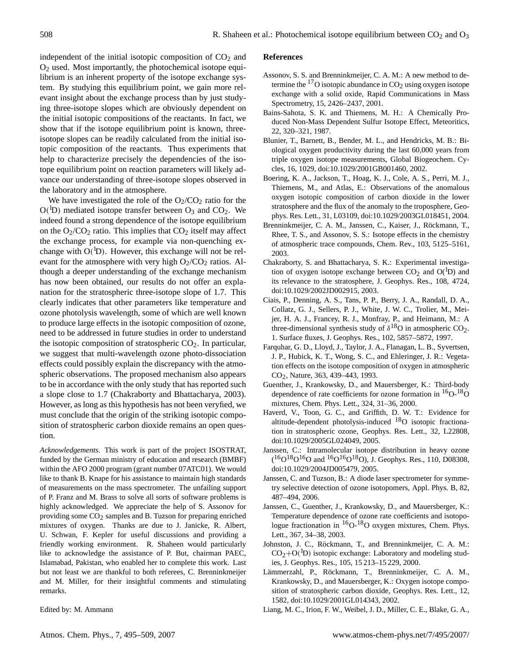independent of the initial isotopic composition of  $CO<sub>2</sub>$  and O<sup>2</sup> used. Most importantly, the photochemical isotope equilibrium is an inherent property of the isotope exchange system. By studying this equilibrium point, we gain more relevant insight about the exchange process than by just studying three-isotope slopes which are obviously dependent on the initial isotopic compositions of the reactants. In fact, we show that if the isotope equilibrium point is known, threeisotope slopes can be readily calculated from the initial isotopic composition of the reactants. Thus experiments that help to characterize precisely the dependencies of the isotope equilibrium point on reaction parameters will likely advance our understanding of three-isotope slopes observed in the laboratory and in the atmosphere.

We have investigated the role of the  $O_2/CO_2$  ratio for the  $O(^1D)$  mediated isotope transfer between  $O_3$  and  $CO_2$ . We indeed found a strong dependence of the isotope equilibrium on the  $O_2/CO_2$  ratio. This implies that  $CO_2$  itself may affect the exchange process, for example via non-quenching exchange with  $O(^{1}D)$ . However, this exchange will not be relevant for the atmosphere with very high  $O_2/CO_2$  ratios. Although a deeper understanding of the exchange mechanism has now been obtained, our results do not offer an explanation for the stratospheric three-isotope slope of 1.7. This clearly indicates that other parameters like temperature and ozone photolysis wavelength, some of which are well known to produce large effects in the isotopic composition of ozone, need to be addressed in future studies in order to understand the isotopic composition of stratospheric  $CO<sub>2</sub>$ . In particular, we suggest that multi-wavelength ozone photo-dissociation effects could possibly explain the discrepancy with the atmospheric observations. The proposed mechanism also appears to be in accordance with the only study that has reported such a slope close to 1.7 [\(Chakraborty and Bhattacharya,](#page-13-8) [2003\)](#page-13-8). However, as long as this hypothesis has not been veryfied, we must conclude that the origin of the striking isotopic composition of stratospheric carbon dioxide remains an open question.

*Acknowledgements.* This work is part of the project ISOSTRAT, funded by the German ministry of education and research (BMBF) within the AFO 2000 program (grant number 07ATC01). We would like to thank B. Knape for his assistance to maintain high standards of measurements on the mass spectrometer. The unfailing support of P. Franz and M. Brass to solve all sorts of software problems is highly acknowledged. We appreciate the help of S. Assonov for providing some  $CO<sub>2</sub>$  samples and B. Tuzson for preparing enriched mixtures of oxygen. Thanks are due to J. Janicke, R. Albert, U. Schwan, F. Kepler for useful discussions and providing a friendly working environment. R. Shaheen would particularly like to acknowledge the assistance of P. But, chairman PAEC, Islamabad, Pakistan, who enabled her to complete this work. Last but not least we are thankful to both referees, C. Brenninkmeijer and M. Miller, for their insightful comments and stimulating remarks.

Edited by: M. Ammann

#### **References**

- <span id="page-13-10"></span>Assonov, S. S. and Brenninkmeijer, C. A. M.: A new method to determine the  $^{17}$ O isotopic abundance in CO<sub>2</sub> using oxygen isotope exchange with a solid oxide, Rapid Communications in Mass Spectrometry, 15, 2426–2437, 2001.
- <span id="page-13-13"></span>Bains-Sahota, S. K. and Thiemens, M. H.: A Chemically Produced Non-Mass Dependent Sulfur Isotope Effect, Meteoritics, 22, 320–321, 1987.
- <span id="page-13-6"></span>Blunier, T., Barnett, B., Bender, M. L., and Hendricks, M. B.: Biological oxygen productivity during the last 60,000 years from triple oxygen isotope measurements, Global Biogeochem. Cycles, 16, 1029, doi:10.1029/2001GB001460, 2002.
- <span id="page-13-3"></span>Boering, K. A., Jackson, T., Hoag, K. J., Cole, A. S., Perri, M. J., Thiemens, M., and Atlas, E.: Observations of the anomalous oxygen isotopic composition of carbon dioxide in the lower stratosphere and the flux of the anomaly to the troposphere, Geophys. Res. Lett., 31, L03109, doi:10.1029/2003GL018451, 2004.
- <span id="page-13-5"></span>Brenninkmeijer, C. A. M., Janssen, C., Kaiser, J., Röckmann, T., Rhee, T. S., and Assonov, S. S.: Isotope effects in the chemistry of atmospheric trace compounds, Chem. Rev., 103, 5125–5161, 2003.
- <span id="page-13-8"></span>Chakraborty, S. and Bhattacharya, S. K.: Experimental investigation of oxygen isotope exchange between  $CO<sub>2</sub>$  and  $O(^{1}D)$  and its relevance to the stratosphere, J. Geophys. Res., 108, 4724, doi:10.1029/2002JD002915, 2003.
- <span id="page-13-0"></span>Ciais, P., Denning, A. S., Tans, P. P., Berry, J. A., Randall, D. A., Collatz, G. J., Sellers, P. J., White, J. W. C., Trolier, M., Meijer, H. A. J., Francey, R. J., Monfray, P., and Heimann, M.: A three-dimensional synthesis study of  $\delta^{18}$ O in atmospheric CO<sub>2</sub>. 1. Surface fluxes, J. Geophys. Res., 102, 5857–5872, 1997.
- <span id="page-13-1"></span>Farquhar, G. D., Lloyd, J., Taylor, J. A., Flanagan, L. B., Syvertsen, J. P., Hubick, K. T., Wong, S. C., and Ehleringer, J. R.: Vegetation effects on the isotope composition of oxygen in atmospheric CO2, Nature, 363, 439–443, 1993.
- <span id="page-13-12"></span>Guenther, J., Krankowsky, D., and Mauersberger, K.: Third-body dependence of rate coefficients for ozone formation in  ${}^{16}O-{}^{18}O$ mixtures, Chem. Phys. Lett., 324, 31–36, 2000.
- <span id="page-13-15"></span>Haverd, V., Toon, G. C., and Griffith, D. W. T.: Evidence for altitude-dependent photolysis-induced  $^{18}O$  isotopic fractionation in stratospheric ozone, Geophys. Res. Lett., 32, L22808, doi:10.1029/2005GL024049, 2005.
- <span id="page-13-4"></span>Janssen, C.: Intramolecular isotope distribution in heavy ozone  $( {}^{16}O^{18}O^{16}O$  and  ${}^{16}O^{16}O^{18}O)$ , J. Geophys. Res., 110, D08308, doi:10.1029/2004JD005479, 2005.
- <span id="page-13-9"></span>Janssen, C. and Tuzson, B.: A diode laser spectrometer for symmetry selective detection of ozone isotopomers, Appl. Phys. B, 82, 487–494, 2006.
- <span id="page-13-11"></span>Janssen, C., Guenther, J., Krankowsky, D., and Mauersberger, K.: Temperature dependence of ozone rate coefficients and isotopologue fractionation in <sup>16</sup>O-<sup>18</sup>O oxygen mixtures, Chem. Phys. Lett., 367, 34–38, 2003.
- <span id="page-13-7"></span>Johnston, J. C., Röckmann, T., and Brenninkmeijer, C. A. M.:  $CO_2 + O(^1D)$  isotopic exchange: Laboratory and modeling studies, J. Geophys. Res., 105, 15 213–15 229, 2000.
- <span id="page-13-2"></span>Lämmerzahl, P., Röckmann, T., Brenninkmeijer, C. A. M., Krankowsky, D., and Mauersberger, K.: Oxygen isotope composition of stratospheric carbon dioxide, Geophys. Res. Lett., 12, 1582, doi:10.1029/2001GL014343, 2002.
- <span id="page-13-14"></span>Liang, M. C., Irion, F. W., Weibel, J. D., Miller, C. E., Blake, G. A.,